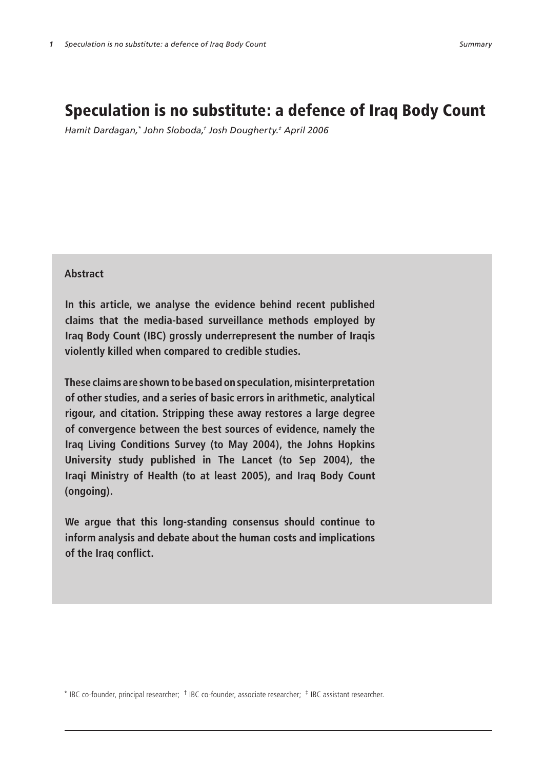# Speculation is no substitute: a defence of Iraq Body Count

*Hamit Dardagan,\* John Sloboda,† Josh Dougherty.‡ April 2006*

## **Abstract**

**In this article, we analyse the evidence behind recent published claims that the media-based surveillance methods employed by Iraq Body Count (IBC) grossly underrepresent the number of Iraqis violently killed when compared to credible studies.**

**These claims are shown to be based on speculation, misinterpretation of other studies, and a series of basic errors in arithmetic, analytical rigour, and citation. Stripping these away restores a large degree of convergence between the best sources of evidence, namely the Iraq Living Conditions Survey (to May 2004), the Johns Hopkins University study published in The Lancet (to Sep 2004), the Iraqi Ministry of Health (to at least 2005), and Iraq Body Count (ongoing).**

**We argue that this long-standing consensus should continue to inform analysis and debate about the human costs and implications of the Iraq conflict.**

\* IBC co-founder, principal researcher; † IBC co-founder, associate researcher; ‡ IBC assistant researcher.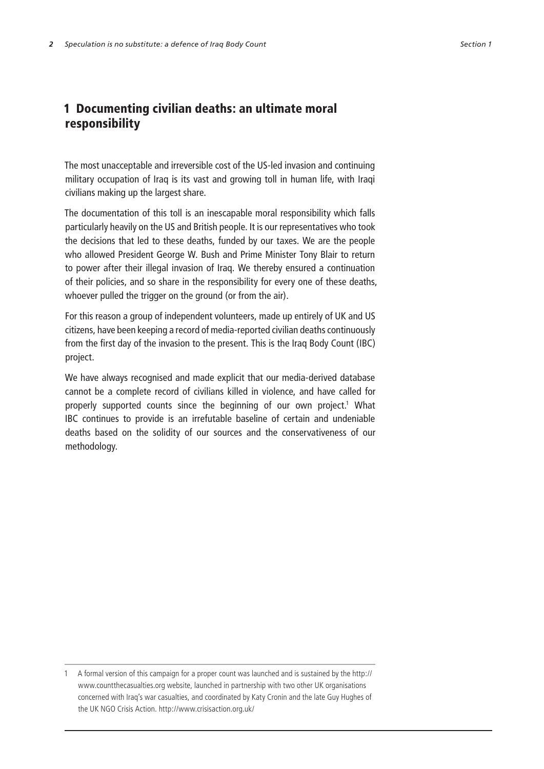## 1 Documenting civilian deaths: an ultimate moral responsibility

The most unacceptable and irreversible cost of the US-led invasion and continuing military occupation of Iraq is its vast and growing toll in human life, with Iraqi civilians making up the largest share.

The documentation of this toll is an inescapable moral responsibility which falls particularly heavily on the US and British people. It is our representatives who took the decisions that led to these deaths, funded by our taxes. We are the people who allowed President George W. Bush and Prime Minister Tony Blair to return to power after their illegal invasion of Iraq. We thereby ensured a continuation of their policies, and so share in the responsibility for every one of these deaths, whoever pulled the trigger on the ground (or from the air).

For this reason a group of independent volunteers, made up entirely of UK and US citizens, have been keeping a record of media-reported civilian deaths continuously from the first day of the invasion to the present. This is the Iraq Body Count (IBC) project.

We have always recognised and made explicit that our media-derived database cannot be a complete record of civilians killed in violence, and have called for properly supported counts since the beginning of our own project.<sup>1</sup> What IBC continues to provide is an irrefutable baseline of certain and undeniable deaths based on the solidity of our sources and the conservativeness of our methodology.

 A formal version of this campaign for a proper count was launched and is sustained by the http:// www.countthecasualties.org website, launched in partnership with two other UK organisations concerned with Iraq's war casualties, and coordinated by Katy Cronin and the late Guy Hughes of the UK NGO Crisis Action. http://www.crisisaction.org.uk/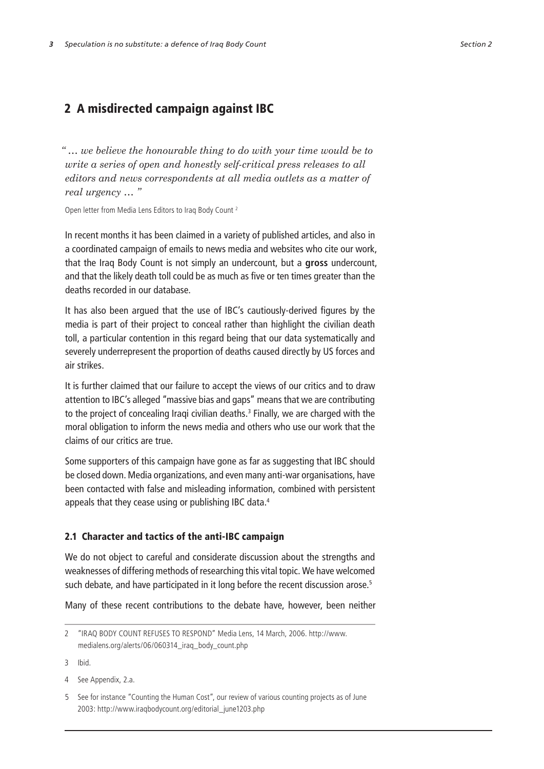## 2 A misdirected campaign against IBC

*" … we believe the honourable thing to do with your time would be to write a series of open and honestly self-critical press releases to all editors and news correspondents at all media outlets as a matter of real urgency … "* 

Open letter from Media Lens Editors to Iraq Body Count<sup>2</sup>

In recent months it has been claimed in a variety of published articles, and also in a coordinated campaign of emails to news media and websites who cite our work, that the Iraq Body Count is not simply an undercount, but a **gross** undercount, and that the likely death toll could be as much as five or ten times greater than the deaths recorded in our database.

It has also been argued that the use of IBC's cautiously-derived figures by the media is part of their project to conceal rather than highlight the civilian death toll, a particular contention in this regard being that our data systematically and severely underrepresent the proportion of deaths caused directly by US forces and air strikes.

It is further claimed that our failure to accept the views of our critics and to draw attention to IBC's alleged "massive bias and gaps" means that we are contributing to the project of concealing Iraqi civilian deaths. Finally, we are charged with the moral obligation to inform the news media and others who use our work that the claims of our critics are true.

Some supporters of this campaign have gone as far as suggesting that IBC should be closed down. Media organizations, and even many anti-war organisations, have been contacted with false and misleading information, combined with persistent appeals that they cease using or publishing IBC data.

## 2.1 Character and tactics of the anti-IBC campaign

We do not object to careful and considerate discussion about the strengths and weaknesses of differing methods of researching this vital topic. We have welcomed such debate, and have participated in it long before the recent discussion arose.<sup>5</sup>

Many of these recent contributions to the debate have, however, been neither

3 Ibid.

"IRAQ BODY COUNT REFUSES TO RESPOND" Media Lens, 14 March, 2006. http://www. medialens.org/alerts/06/060314\_iraq\_body\_count.php

<sup>4</sup> See Appendix, 2.a.

See for instance "Counting the Human Cost", our review of various counting projects as of June 2003: http://www.iraqbodycount.org/editorial\_june1203.php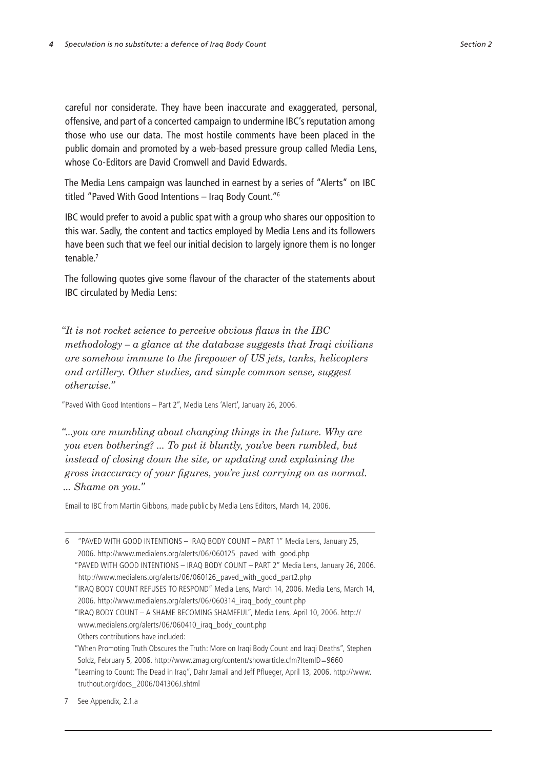careful nor considerate. They have been inaccurate and exaggerated, personal, offensive, and part of a concerted campaign to undermine IBC's reputation among those who use our data. The most hostile comments have been placed in the public domain and promoted by a web-based pressure group called Media Lens, whose Co-Editors are David Cromwell and David Edwards.

The Media Lens campaign was launched in earnest by a series of "Alerts" on IBC titled "Paved With Good Intentions – Iraq Body Count."

IBC would prefer to avoid a public spat with a group who shares our opposition to this war. Sadly, the content and tactics employed by Media Lens and its followers have been such that we feel our initial decision to largely ignore them is no longer tenable.

The following quotes give some flavour of the character of the statements about IBC circulated by Media Lens:

*"It is not rocket science to perceive obvious flaws in the IBC methodology – a glance at the database suggests that Iraqi civilians are somehow immune to the firepower of US jets, tanks, helicopters and artillery. Other studies, and simple common sense, suggest otherwise."*

"Paved With Good Intentions – Part 2", Media Lens 'Alert', January 26, 2006.

*"...you are mumbling about changing things in the future. Why are you even bothering? ... To put it bluntly, you've been rumbled, but instead of closing down the site, or updating and explaining the gross inaccuracy of your figures, you're just carrying on as normal. ... Shame on you."*

Email to IBC from Martin Gibbons, made public by Media Lens Editors, March 14, 2006.

"PAVED WITH GOOD INTENTIONS – IRAQ BODY COUNT – PART 1" Media Lens, January 25, 2006. http://www.medialens.org/alerts/06/060125\_paved\_with\_good.php "PAVED WITH GOOD INTENTIONS – IRAQ BODY COUNT – PART 2" Media Lens, January 26, 2006. http://www.medialens.org/alerts/06/060126\_paved\_with\_good\_part2.php "IRAQ BODY COUNT REFUSES TO RESPOND" Media Lens, March 14, 2006. Media Lens, March 14, 2006. http://www.medialens.org/alerts/06/060314\_iraq\_body\_count.php

<sup>&</sup>quot;IRAQ BODY COUNT – A SHAME BECOMING SHAMEFUL", Media Lens, April 10, 2006. http:// www.medialens.org/alerts/06/060410\_iraq\_body\_count.php Others contributions have included:

<sup>&</sup>quot;When Promoting Truth Obscures the Truth: More on Iraqi Body Count and Iraqi Deaths", Stephen Soldz, February 5, 2006. http://www.zmag.org/content/showarticle.cfm?ItemID=9660 "Learning to Count: The Dead in Iraq", Dahr Jamail and Jeff Pflueger, April 13, 2006. http://www. truthout.org/docs\_2006/041306J.shtml

<sup>7</sup> See Appendix, 2.1.a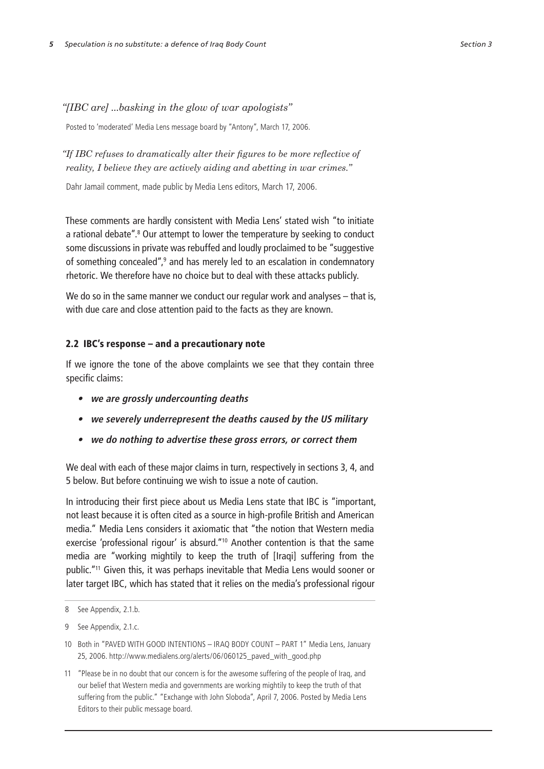Posted to 'moderated' Media Lens message board by "Antony", March 17, 2006.

*"If IBC refuses to dramatically alter their figures to be more reflective of reality, I believe they are actively aiding and abetting in war crimes."*

Dahr Jamail comment, made public by Media Lens editors, March 17, 2006.

These comments are hardly consistent with Media Lens' stated wish "to initiate a rational debate".<sup>8</sup> Our attempt to lower the temperature by seeking to conduct some discussions in private was rebuffed and loudly proclaimed to be "suggestive of something concealed",<sup>9</sup> and has merely led to an escalation in condemnatory rhetoric. We therefore have no choice but to deal with these attacks publicly.

We do so in the same manner we conduct our regular work and analyses – that is, with due care and close attention paid to the facts as they are known.

## 2.2 IBC's response – and a precautionary note

If we ignore the tone of the above complaints we see that they contain three specific claims:

- **• we are grossly undercounting deaths**
- **• we severely underrepresent the deaths caused by the US military**
- **• we do nothing to advertise these gross errors, or correct them**

We deal with each of these major claims in turn, respectively in sections 3, 4, and 5 below. But before continuing we wish to issue a note of caution.

In introducing their first piece about us Media Lens state that IBC is "important, not least because it is often cited as a source in high-profile British and American media." Media Lens considers it axiomatic that "the notion that Western media exercise 'professional rigour' is absurd."10 Another contention is that the same media are "working mightily to keep the truth of [Iraqi] suffering from the public."11 Given this, it was perhaps inevitable that Media Lens would sooner or later target IBC, which has stated that it relies on the media's professional rigour

<sup>8</sup> See Appendix, 2.1.b.

<sup>9</sup> See Appendix, 2.1.c.

<sup>10</sup> Both in "PAVED WITH GOOD INTENTIONS – IRAQ BODY COUNT – PART 1" Media Lens, January 25, 2006. http://www.medialens.org/alerts/06/060125\_paved\_with\_good.php

<sup>11</sup> "Please be in no doubt that our concern is for the awesome suffering of the people of Iraq, and our belief that Western media and governments are working mightily to keep the truth of that suffering from the public." "Exchange with John Sloboda", April 7, 2006. Posted by Media Lens Editors to their public message board.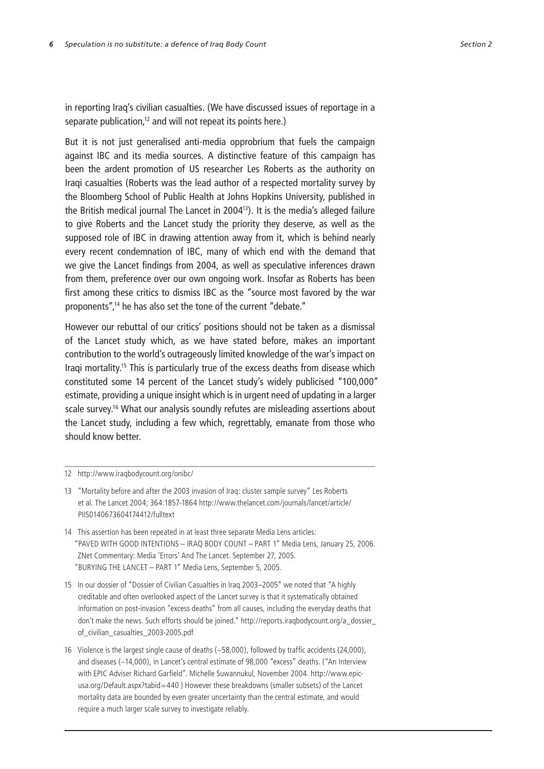in reporting Iraq's civilian casualties. (We have discussed issues of reportage in a separate publication,<sup>12</sup> and will not repeat its points here.)

But it is not just generalised anti-media opprobrium that fuels the campaign against IBC and its media sources. A distinctive feature of this campaign has been the ardent promotion of US researcher Les Roberts as the authority on Iraqi casualties (Roberts was the lead author of a respected mortality survey by the Bloomberg School of Public Health at Johns Hopkins University, published in the British medical journal The Lancet in 200413). It is the media's alleged failure to give Roberts and the Lancet study the priority they deserve, as well as the supposed role of IBC in drawing attention away from it, which is behind nearly every recent condemnation of IBC, many of which end with the demand that we give the Lancet findings from 2004, as well as speculative inferences drawn from them, preference over our own ongoing work. Insofar as Roberts has been first among these critics to dismiss IBC as the "source most favored by the war proponents",14 he has also set the tone of the current "debate."

However our rebuttal of our critics' positions should not be taken as a dismissal of the Lancet study which, as we have stated before, makes an important contribution to the world's outrageously limited knowledge of the war's impact on Iraqi mortality.15 This is particularly true of the excess deaths from disease which constituted some 14 percent of the Lancet study's widely publicised "100,000" estimate, providing a unique insight which is in urgent need of updating in a larger scale survey.<sup>16</sup> What our analysis soundly refutes are misleading assertions about the Lancet study, including a few which, regrettably, emanate from those who should know better.

- 13 "Mortality before and after the 2003 invasion of Iraq: cluster sample survey" Les Roberts et al. The Lancet 2004; 364:1857-1864 http://www.thelancet.com/journals/lancet/article/ PIIS0140673604174412/fulltext
- 14 This assertion has been repeated in at least three separate Media Lens articles: "PAVED WITH GOOD INTENTIONS – IRAQ BODY COUNT – PART 1" Media Lens, January 25, 2006. ZNet Commentary: Media 'Errors' And The Lancet. September 27, 2005. "BURYING THE LANCET – PART 1" Media Lens, September 5, 2005.
- 15 In our dossier of "Dossier of Civilian Casualties in Iraq 2003–2005" we noted that "A highly creditable and often overlooked aspect of the Lancet survey is that it systematically obtained information on post-invasion "excess deaths" from all causes, including the everyday deaths that don't make the news. Such efforts should be joined." http://reports.iraqbodycount.org/a\_dossier\_ of\_civilian\_casualties\_2003-2005.pdf
- 16 Violence is the largest single cause of deaths (~58,000), followed by traffic accidents (24,000), and diseases (~14,000), in Lancet's central estimate of 98,000 "excess" deaths. ("An Interview with EPIC Adviser Richard Garfield". Michelle Suwannukul, November 2004. http://www.epicusa.org/Default.aspx?tabid=440 ) However these breakdowns (smaller subsets) of the Lancet mortality data are bounded by even greater uncertainty than the central estimate, and would require a much larger scale survey to investigate reliably.

<sup>12</sup> http://www.iraqbodycount.org/onibc/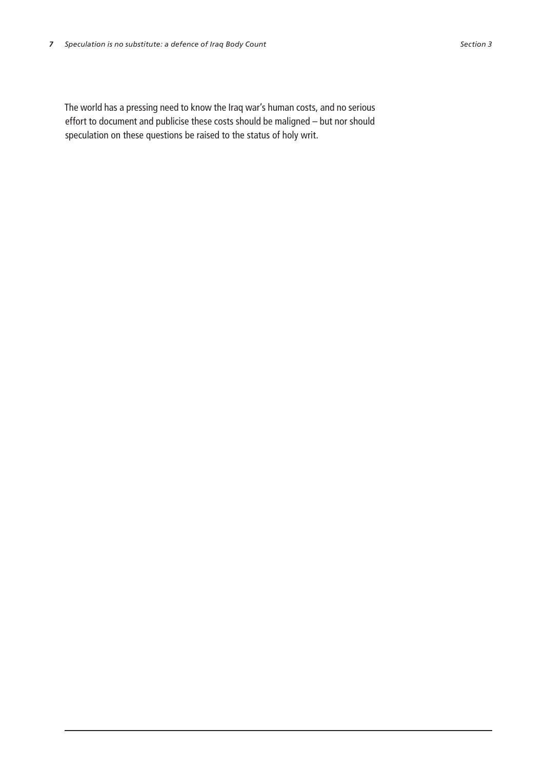The world has a pressing need to know the Iraq war's human costs, and no serious effort to document and publicise these costs should be maligned – but nor should speculation on these questions be raised to the status of holy writ.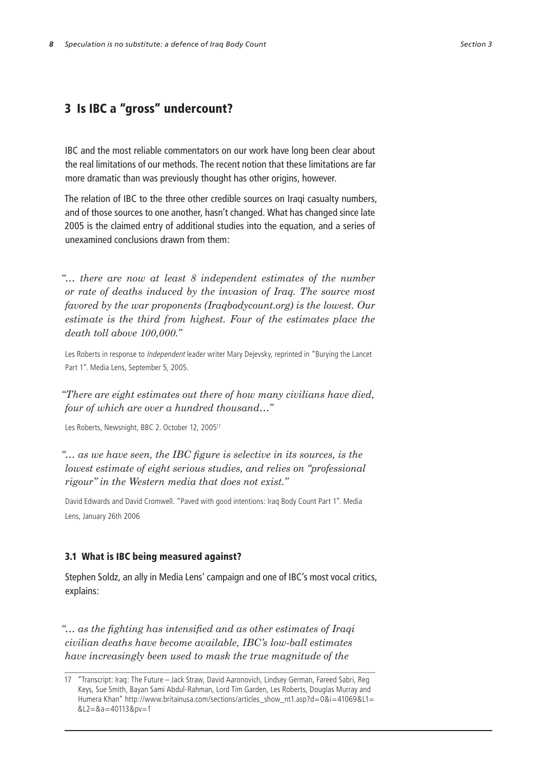## 3 Is IBC a "gross" undercount?

IBC and the most reliable commentators on our work have long been clear about the real limitations of our methods. The recent notion that these limitations are far more dramatic than was previously thought has other origins, however.

The relation of IBC to the three other credible sources on Iraqi casualty numbers, and of those sources to one another, hasn't changed. What has changed since late 2005 is the claimed entry of additional studies into the equation, and a series of unexamined conclusions drawn from them:

*"… there are now at least 8 independent estimates of the number or rate of deaths induced by the invasion of Iraq. The source most favored by the war proponents (Iraqbodycount.org) is the lowest. Our estimate is the third from highest. Four of the estimates place the death toll above 100,000."*

Les Roberts in response to *Independent* leader writer Mary Dejevsky, reprinted in "Burying the Lancet Part 1". Media Lens, September 5, 2005.

*"There are eight estimates out there of how many civilians have died, four of which are over a hundred thousand…"*

Les Roberts, Newsnight, BBC 2. October 12, 200517

*"… as we have seen, the IBC figure is selective in its sources, is the lowest estimate of eight serious studies, and relies on "professional rigour" in the Western media that does not exist."*

David Edwards and David Cromwell. "Paved with good intentions: Iraq Body Count Part 1". Media Lens, January 26th 2006

## 3.1 What is IBC being measured against?

Stephen Soldz, an ally in Media Lens' campaign and one of IBC's most vocal critics, explains:

*"… as the fighting has intensified and as other estimates of Iraqi civilian deaths have become available, IBC's low-ball estimates have increasingly been used to mask the true magnitude of the* 

<sup>17</sup> "Transcript: Iraq: The Future – Jack Straw, David Aaronovich, Lindsey German, Fareed Sabri, Reg Keys, Sue Smith, Bayan Sami Abdul-Rahman, Lord Tim Garden, Les Roberts, Douglas Murray and Humera Khan" http://www.britainusa.com/sections/articles\_show\_nt1.asp?d=0&i=41069&L1= &L2=&a=40113&pv=1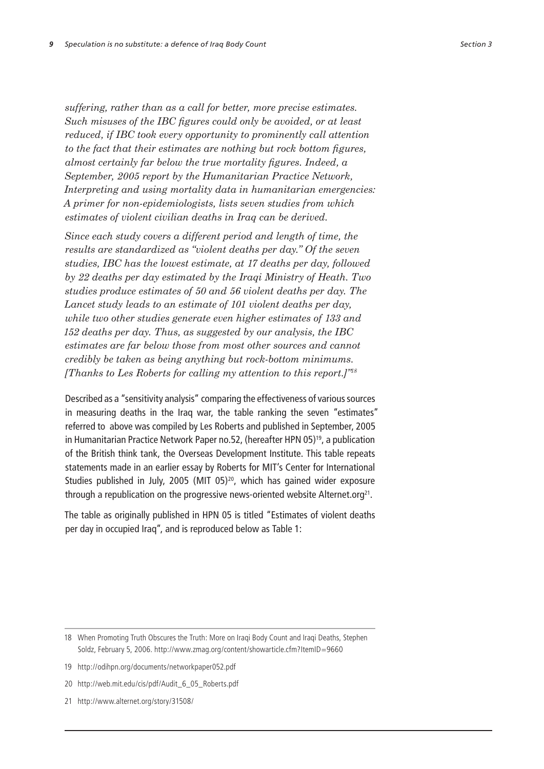*suffering, rather than as a call for better, more precise estimates. Such misuses of the IBC figures could only be avoided, or at least reduced, if IBC took every opportunity to prominently call attention to the fact that their estimates are nothing but rock bottom figures, almost certainly far below the true mortality figures. Indeed, a September, 2005 report by the Humanitarian Practice Network, Interpreting and using mortality data in humanitarian emergencies: A primer for non-epidemiologists, lists seven studies from which estimates of violent civilian deaths in Iraq can be derived.*

*Since each study covers a different period and length of time, the results are standardized as "violent deaths per day." Of the seven studies, IBC has the lowest estimate, at 17 deaths per day, followed by 22 deaths per day estimated by the Iraqi Ministry of Heath. Two studies produce estimates of 50 and 56 violent deaths per day. The Lancet study leads to an estimate of 101 violent deaths per day, while two other studies generate even higher estimates of 133 and 152 deaths per day. Thus, as suggested by our analysis, the IBC estimates are far below those from most other sources and cannot credibly be taken as being anything but rock-bottom minimums. [Thanks to Les Roberts for calling my attention to this report.]"<sup>18</sup>*

Described as a "sensitivity analysis" comparing the effectiveness of various sources in measuring deaths in the Iraq war, the table ranking the seven "estimates" referred to above was compiled by Les Roberts and published in September, 2005 in Humanitarian Practice Network Paper no.52, (hereafter HPN 05) 19, a publication of the British think tank, the Overseas Development Institute. This table repeats statements made in an earlier essay by Roberts for MIT's Center for International Studies published in July, 2005 (MIT 05) 20, which has gained wider exposure through a republication on the progressive news-oriented website Alternet.org<sup>21</sup>.

The table as originally published in HPN 05 is titled "Estimates of violent deaths per day in occupied Iraq", and is reproduced below as Table 1:

- 19 http://odihpn.org/documents/networkpaper052.pdf
- 20 http://web.mit.edu/cis/pdf/Audit\_6\_05\_Roberts.pdf
- 21 http://www.alternet.org/story/31508/

<sup>18</sup> When Promoting Truth Obscures the Truth: More on Iraqi Body Count and Iraqi Deaths, Stephen Soldz, February 5, 2006. http://www.zmag.org/content/showarticle.cfm?ItemID=9660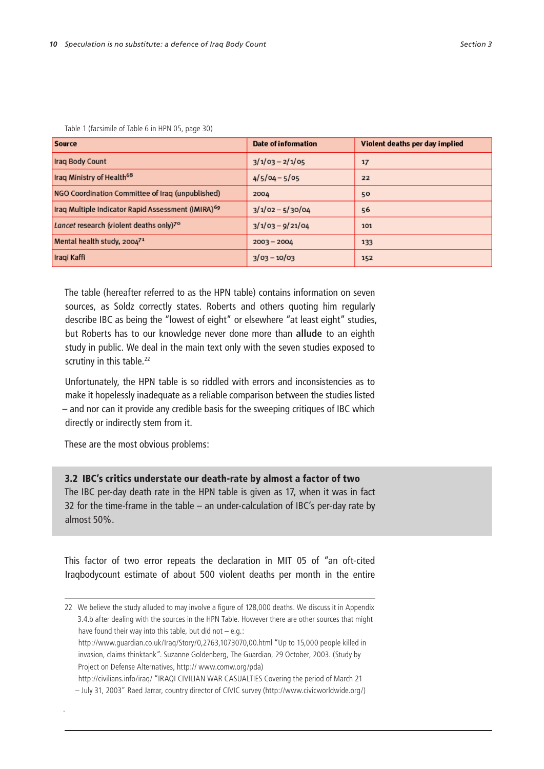| Source                                                         | Date of information | Violent deaths per day implied |
|----------------------------------------------------------------|---------------------|--------------------------------|
| Iraq Body Count                                                | $3/1/03 - 2/1/05$   | 17                             |
| Iraq Ministry of Health <sup>68</sup>                          | $4/5/04 - 5/05$     | 22                             |
| NGO Coordination Committee of Iraq (unpublished)               | 2004                | 50                             |
| Iraq Multiple Indicator Rapid Assessment (IMIRA) <sup>69</sup> | $3/1/02 - 5/30/04$  | 56                             |
| Lancet research (violent deaths only)7º                        | $3/1/03 - 9/21/04$  | 101                            |
| Mental health study, 2004 <sup>71</sup>                        | $2003 - 2004$       | 133                            |
| Iraqi Kaffi                                                    | $3/03 - 10/03$      | 152                            |

Table 1 (facsimile of Table 6 in HPN 05, page 30)

The table (hereafter referred to as the HPN table) contains information on seven sources, as Soldz correctly states. Roberts and others quoting him regularly describe IBC as being the "lowest of eight" or elsewhere "at least eight" studies, but Roberts has to our knowledge never done more than **allude** to an eighth study in public. We deal in the main text only with the seven studies exposed to scrutiny in this table.<sup>22</sup>

Unfortunately, the HPN table is so riddled with errors and inconsistencies as to make it hopelessly inadequate as a reliable comparison between the studies listed – and nor can it provide any credible basis for the sweeping critiques of IBC which directly or indirectly stem from it.

These are the most obvious problems:

.

3.2 IBC's critics understate our death-rate by almost a factor of two

The IBC per-day death rate in the HPN table is given as 17, when it was in fact 32 for the time-frame in the table – an under-calculation of IBC's per-day rate by almost 50%.

This factor of two error repeats the declaration in MIT 05 of "an oft-cited Iraqbodycount estimate of about 500 violent deaths per month in the entire

http://www.guardian.co.uk/Iraq/Story/0,2763,1073070,00.html "Up to 15,000 people killed in invasion, claims thinktank". Suzanne Goldenberg, The Guardian, 29 October, 2003. (Study by Project on Defense Alternatives, http:// www.comw.org/pda)

http://civilians.info/iraq/ "IRAQI CIVILIAN WAR CASUALTIES Covering the period of March 21

<sup>22</sup> We believe the study alluded to may involve a figure of 128,000 deaths. We discuss it in Appendix 3.4.b after dealing with the sources in the HPN Table. However there are other sources that might have found their way into this table, but did not – e.g.:

<sup>–</sup> July 31, 2003" Raed Jarrar, country director of CIVIC survey (http://www.civicworldwide.org/)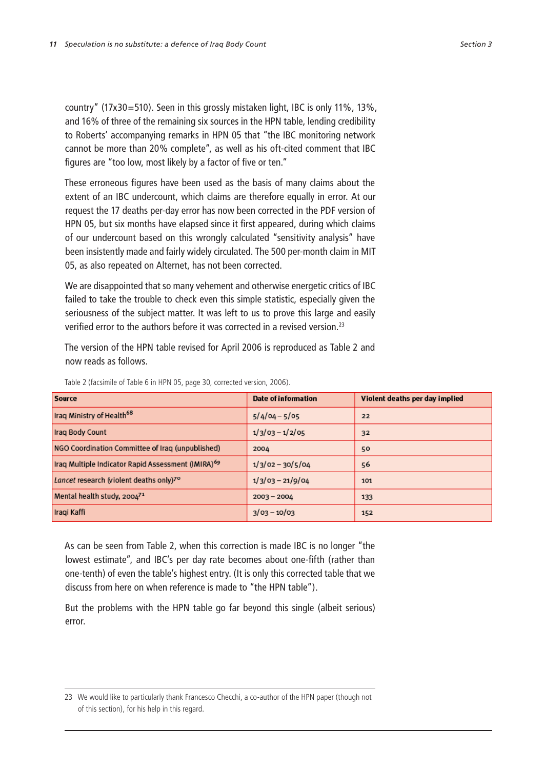country" (17x30=510). Seen in this grossly mistaken light, IBC is only 11%, 13%, and 16% of three of the remaining six sources in the HPN table, lending credibility to Roberts' accompanying remarks in HPN 05 that "the IBC monitoring network cannot be more than 20% complete", as well as his oft-cited comment that IBC figures are "too low, most likely by a factor of five or ten."

These erroneous figures have been used as the basis of many claims about the extent of an IBC undercount, which claims are therefore equally in error. At our request the 17 deaths per-day error has now been corrected in the PDF version of HPN 05, but six months have elapsed since it first appeared, during which claims of our undercount based on this wrongly calculated "sensitivity analysis" have been insistently made and fairly widely circulated. The 500 per-month claim in MIT 05, as also repeated on Alternet, has not been corrected.

We are disappointed that so many vehement and otherwise energetic critics of IBC failed to take the trouble to check even this simple statistic, especially given the seriousness of the subject matter. It was left to us to prove this large and easily verified error to the authors before it was corrected in a revised version.23

The version of the HPN table revised for April 2006 is reproduced as Table 2 and now reads as follows.

| Source                                                         | Date of information | Violent deaths per day implied |
|----------------------------------------------------------------|---------------------|--------------------------------|
| Iraq Ministry of Health <sup>68</sup>                          | $5/4/04 - 5/05$     | 22                             |
| Iraq Body Count                                                | $1/3/03 - 1/2/05$   | 32                             |
| NGO Coordination Committee of Iraq (unpublished)               | 2004                | 50                             |
| Iraq Multiple Indicator Rapid Assessment (IMIRA) <sup>69</sup> | $1/3/02 - 30/5/04$  | 56                             |
| Lancet research (violent deaths only) <sup>7°</sup>            | $1/3/03 - 21/9/04$  | 101                            |
| Mental health study, 2004 <sup>71</sup>                        | $2003 - 2004$       | 133                            |
| Iraqi Kaffi                                                    | $3/03 - 10/03$      | 152                            |

Table 2 (facsimile of Table 6 in HPN 05, page 30, corrected version, 2006).

As can be seen from Table 2, when this correction is made IBC is no longer "the lowest estimate", and IBC's per day rate becomes about one-fifth (rather than one-tenth) of even the table's highest entry. (It is only this corrected table that we discuss from here on when reference is made to "the HPN table").

But the problems with the HPN table go far beyond this single (albeit serious) error.

<sup>23</sup> We would like to particularly thank Francesco Checchi, a co-author of the HPN paper (though not of this section), for his help in this regard.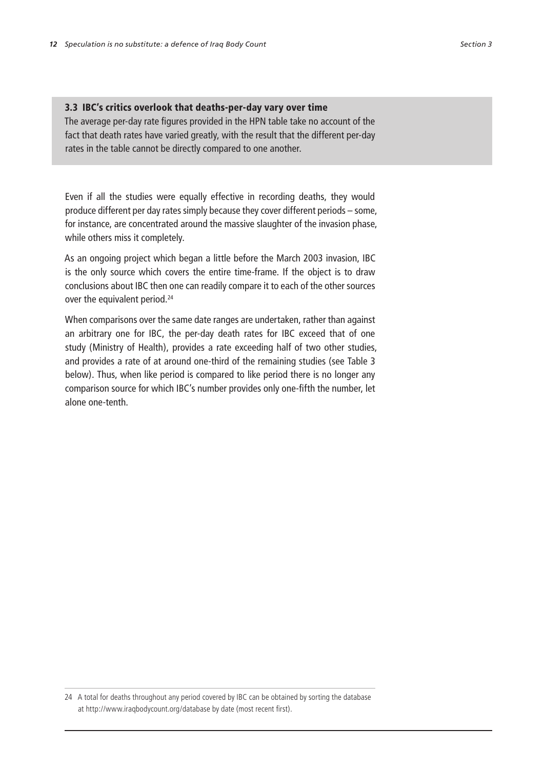## 3.3 IBC's critics overlook that deaths-per-day vary over time

The average per-day rate figures provided in the HPN table take no account of the fact that death rates have varied greatly, with the result that the different per-day rates in the table cannot be directly compared to one another.

Even if all the studies were equally effective in recording deaths, they would produce different per day rates simply because they cover different periods – some, for instance, are concentrated around the massive slaughter of the invasion phase, while others miss it completely.

As an ongoing project which began a little before the March 2003 invasion, IBC is the only source which covers the entire time-frame. If the object is to draw conclusions about IBC then one can readily compare it to each of the other sources over the equivalent period.<sup>24</sup>

When comparisons over the same date ranges are undertaken, rather than against an arbitrary one for IBC, the per-day death rates for IBC exceed that of one study (Ministry of Health), provides a rate exceeding half of two other studies, and provides a rate of at around one-third of the remaining studies (see Table 3 below). Thus, when like period is compared to like period there is no longer any comparison source for which IBC's number provides only one-fifth the number, let alone one-tenth.

24 A total for deaths throughout any period covered by IBC can be obtained by sorting the database at http://www.iraqbodycount.org/database by date (most recent first).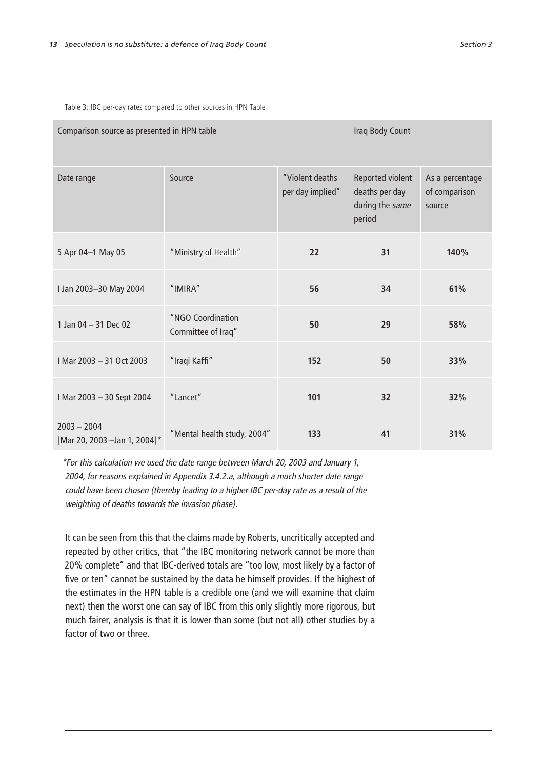Table 3: IBC per-day rates compared to other sources in HPN Table

| Comparison source as presented in HPN table    |                                         |                                     | Iraq Body Count                                                 |                                            |  |
|------------------------------------------------|-----------------------------------------|-------------------------------------|-----------------------------------------------------------------|--------------------------------------------|--|
| Date range                                     | Source                                  | "Violent deaths<br>per day implied" | Reported violent<br>deaths per day<br>during the same<br>period | As a percentage<br>of comparison<br>source |  |
| 5 Apr 04-1 May 05                              | "Ministry of Health"                    | 22                                  | 31                                                              | 140%                                       |  |
| I Jan 2003-30 May 2004                         | "IMIRA"                                 | 56                                  | 34                                                              | 61%                                        |  |
| 1 Jan $04 - 31$ Dec 02                         | "NGO Coordination<br>Committee of Iraq" | 50                                  | 29                                                              | 58%                                        |  |
| I Mar 2003 - 31 Oct 2003                       | "Iraqi Kaffi"                           | 152                                 | 50                                                              | 33%                                        |  |
| I Mar 2003 - 30 Sept 2004                      | "Lancet"                                | 101                                 | 32                                                              | 32%                                        |  |
| $2003 - 2004$<br>[Mar 20, 2003 - Jan 1, 2004]* | "Mental health study, 2004"             | 133                                 | 41                                                              | 31%                                        |  |

\*For this calculation we used the date range between March 20, 2003 and January 1, 2004, for reasons explained in Appendix 3.4.2.a, although a much shorter date range could have been chosen (thereby leading to a higher IBC per-day rate as a result of the weighting of deaths towards the invasion phase).

It can be seen from this that the claims made by Roberts, uncritically accepted and repeated by other critics, that "the IBC monitoring network cannot be more than 20% complete" and that IBC-derived totals are "too low, most likely by a factor of five or ten" cannot be sustained by the data he himself provides. If the highest of the estimates in the HPN table is a credible one (and we will examine that claim next) then the worst one can say of IBC from this only slightly more rigorous, but much fairer, analysis is that it is lower than some (but not all) other studies by a factor of two or three.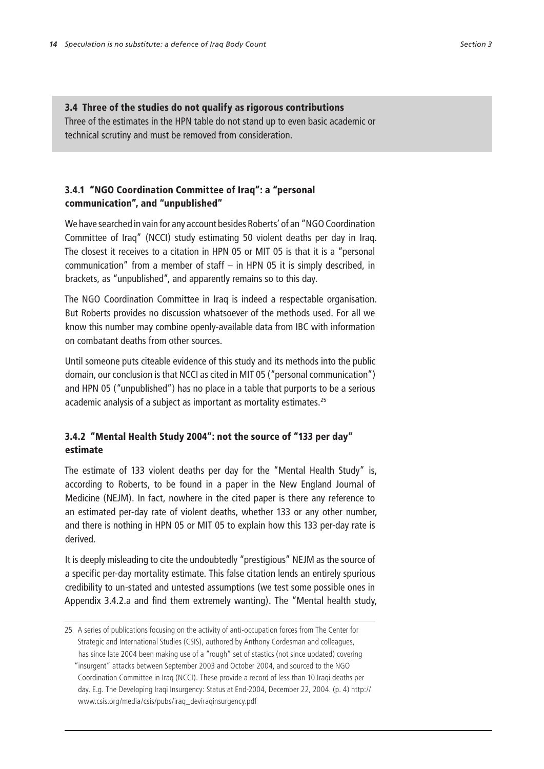## 3.4 Three of the studies do not qualify as rigorous contributions

Three of the estimates in the HPN table do not stand up to even basic academic or technical scrutiny and must be removed from consideration.

## 3.4.1 "NGO Coordination Committee of Iraq": a "personal communication", and "unpublished"

We have searched in vain for any account besides Roberts' of an "NGO Coordination Committee of Iraq" (NCCI) study estimating 50 violent deaths per day in Iraq. The closest it receives to a citation in HPN 05 or MIT 05 is that it is a "personal communication" from a member of staff – in HPN 05 it is simply described, in brackets, as "unpublished", and apparently remains so to this day.

The NGO Coordination Committee in Iraq is indeed a respectable organisation. But Roberts provides no discussion whatsoever of the methods used. For all we know this number may combine openly-available data from IBC with information on combatant deaths from other sources.

Until someone puts citeable evidence of this study and its methods into the public domain, our conclusion is that NCCI as cited in MIT 05 ("personal communication") and HPN 05 ("unpublished") has no place in a table that purports to be a serious academic analysis of a subject as important as mortality estimates.<sup>25</sup>

## 3.4.2 "Mental Health Study 2004": not the source of "133 per day" estimate

The estimate of 133 violent deaths per day for the "Mental Health Study" is, according to Roberts, to be found in a paper in the New England Journal of Medicine (NEJM). In fact, nowhere in the cited paper is there any reference to an estimated per-day rate of violent deaths, whether 133 or any other number, and there is nothing in HPN 05 or MIT 05 to explain how this 133 per-day rate is derived.

It is deeply misleading to cite the undoubtedly "prestigious" NEJM as the source of a specific per-day mortality estimate. This false citation lends an entirely spurious credibility to un-stated and untested assumptions (we test some possible ones in Appendix 3.4.2.a and find them extremely wanting). The "Mental health study,

<sup>25</sup> A series of publications focusing on the activity of anti-occupation forces from The Center for Strategic and International Studies (CSIS), authored by Anthony Cordesman and colleagues, has since late 2004 been making use of a "rough" set of stastics (not since updated) covering "insurgent" attacks between September 2003 and October 2004, and sourced to the NGO Coordination Committee in Iraq (NCCI). These provide a record of less than 10 Iraqi deaths per day. E.g. The Developing Iraqi Insurgency: Status at End-2004, December 22, 2004. (p. 4) http:// www.csis.org/media/csis/pubs/iraq\_deviraqinsurgency.pdf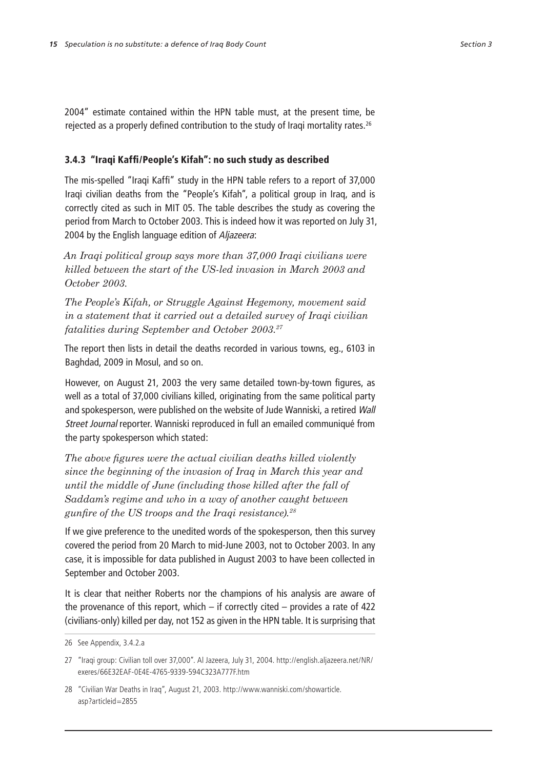2004" estimate contained within the HPN table must, at the present time, be rejected as a properly defined contribution to the study of Iraqi mortality rates.<sup>26</sup>

## 3.4.3 "Iraqi Kaffi/People's Kifah": no such study as described

The mis-spelled "Iraqi Kaffi" study in the HPN table refers to a report of 37,000 Iraqi civilian deaths from the "People's Kifah", a political group in Iraq, and is correctly cited as such in MIT 05. The table describes the study as covering the period from March to October 2003. This is indeed how it was reported on July 31, 2004 by the English language edition of Aljazeera:

*An Iraqi political group says more than 37,000 Iraqi civilians were killed between the start of the US-led invasion in March 2003 and October 2003.*

*The People's Kifah, or Struggle Against Hegemony, movement said in a statement that it carried out a detailed survey of Iraqi civilian fatalities during September and October 2003.27*

The report then lists in detail the deaths recorded in various towns, eg., 6103 in Baghdad, 2009 in Mosul, and so on.

However, on August 21, 2003 the very same detailed town-by-town figures, as well as a total of 37,000 civilians killed, originating from the same political party and spokesperson, were published on the website of Jude Wanniski, a retired Wall Street Journal reporter. Wanniski reproduced in full an emailed communiqué from the party spokesperson which stated:

*The above figures were the actual civilian deaths killed violently since the beginning of the invasion of Iraq in March this year and until the middle of June (including those killed after the fall of Saddam's regime and who in a way of another caught between gunfire of the US troops and the Iraqi resistance).28*

If we give preference to the unedited words of the spokesperson, then this survey covered the period from 20 March to mid-June 2003, not to October 2003. In any case, it is impossible for data published in August 2003 to have been collected in September and October 2003.

It is clear that neither Roberts nor the champions of his analysis are aware of the provenance of this report, which  $-$  if correctly cited  $-$  provides a rate of 422 (civilians-only) killed per day, not 152 as given in the HPN table. It is surprising that

<sup>26</sup> See Appendix, 3.4.2.a

<sup>27</sup> "Iraqi group: Civilian toll over 37,000". Al Jazeera, July 31, 2004. http://english.aljazeera.net/NR/ exeres/66E32EAF-0E4E-4765-9339-594C323A777F.htm

<sup>28</sup> "Civilian War Deaths in Iraq", August 21, 2003. http://www.wanniski.com/showarticle. asp?articleid=2855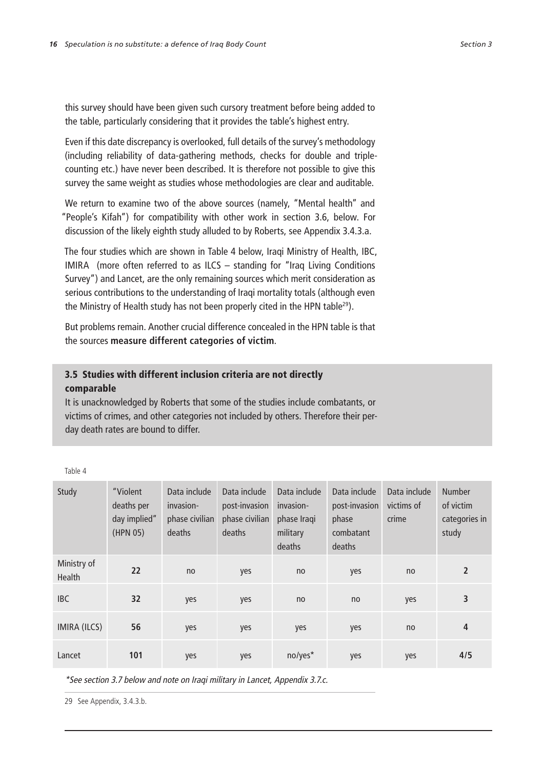this survey should have been given such cursory treatment before being added to the table, particularly considering that it provides the table's highest entry.

Even if this date discrepancy is overlooked, full details of the survey's methodology (including reliability of data-gathering methods, checks for double and triplecounting etc.) have never been described. It is therefore not possible to give this survey the same weight as studies whose methodologies are clear and auditable.

We return to examine two of the above sources (namely, "Mental health" and "People's Kifah") for compatibility with other work in section 3.6, below. For discussion of the likely eighth study alluded to by Roberts, see Appendix 3.4.3.a.

The four studies which are shown in Table 4 below, Iraqi Ministry of Health, IBC, IMIRA (more often referred to as ILCS – standing for "Iraq Living Conditions Survey") and Lancet, are the only remaining sources which merit consideration as serious contributions to the understanding of Iraqi mortality totals (although even the Ministry of Health study has not been properly cited in the HPN table<sup>29</sup>).

But problems remain. Another crucial difference concealed in the HPN table is that the sources **measure different categories of victim**.

## 3.5 Studies with different inclusion criteria are not directly comparable

It is unacknowledged by Roberts that some of the studies include combatants, or victims of crimes, and other categories not included by others. Therefore their perday death rates are bound to differ.

Table 4

| Study                 | "Violent<br>deaths per<br>day implied"<br>(HPN 05) | Data include<br>invasion-<br>phase civilian<br>deaths | Data include<br>post-invasion<br>phase civilian<br>deaths | Data include<br>invasion-<br>phase Iraqi<br>military<br>deaths | Data include<br>post-invasion<br>phase<br>combatant<br>deaths | Data include<br>victims of<br>crime | <b>Number</b><br>of victim<br>categories in<br>study |
|-----------------------|----------------------------------------------------|-------------------------------------------------------|-----------------------------------------------------------|----------------------------------------------------------------|---------------------------------------------------------------|-------------------------------------|------------------------------------------------------|
| Ministry of<br>Health | 22                                                 | no                                                    | yes                                                       | no                                                             | yes                                                           | no                                  | $\overline{2}$                                       |
| <b>IBC</b>            | 32                                                 | yes                                                   | yes                                                       | no                                                             | no                                                            | yes                                 | 3                                                    |
| <b>IMIRA (ILCS)</b>   | 56                                                 | yes                                                   | yes                                                       | yes                                                            | yes                                                           | no                                  | 4                                                    |
| Lancet                | 101                                                | yes                                                   | yes                                                       | no/yes*                                                        | yes                                                           | yes                                 | 4/5                                                  |

\*See section 3.7 below and note on Iraqi military in Lancet, Appendix 3.7.c.

29 See Appendix, 3.4.3.b.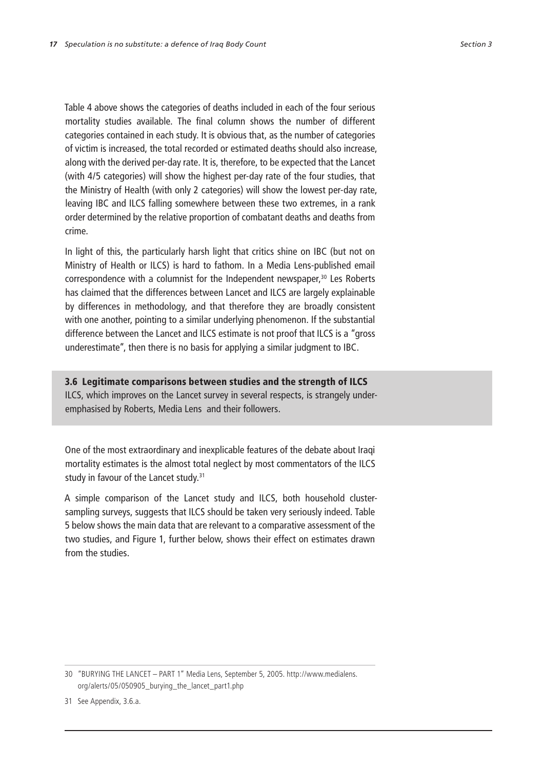Table 4 above shows the categories of deaths included in each of the four serious mortality studies available. The final column shows the number of different categories contained in each study. It is obvious that, as the number of categories of victim is increased, the total recorded or estimated deaths should also increase, along with the derived per-day rate. It is, therefore, to be expected that the Lancet (with 4/5 categories) will show the highest per-day rate of the four studies, that the Ministry of Health (with only 2 categories) will show the lowest per-day rate, leaving IBC and ILCS falling somewhere between these two extremes, in a rank order determined by the relative proportion of combatant deaths and deaths from crime.

In light of this, the particularly harsh light that critics shine on IBC (but not on Ministry of Health or ILCS) is hard to fathom. In a Media Lens-published email correspondence with a columnist for the Independent newspaper,<sup>30</sup> Les Roberts has claimed that the differences between Lancet and ILCS are largely explainable by differences in methodology, and that therefore they are broadly consistent with one another, pointing to a similar underlying phenomenon. If the substantial difference between the Lancet and ILCS estimate is not proof that ILCS is a "gross underestimate", then there is no basis for applying a similar judgment to IBC.

### 3.6 Legitimate comparisons between studies and the strength of ILCS

ILCS, which improves on the Lancet survey in several respects, is strangely underemphasised by Roberts, Media Lens and their followers.

One of the most extraordinary and inexplicable features of the debate about Iraqi mortality estimates is the almost total neglect by most commentators of the ILCS study in favour of the Lancet study.<sup>31</sup>

A simple comparison of the Lancet study and ILCS, both household clustersampling surveys, suggests that ILCS should be taken very seriously indeed. Table 5 below shows the main data that are relevant to a comparative assessment of the two studies, and Figure 1, further below, shows their effect on estimates drawn from the studies.

31 See Appendix, 3.6.a.

<sup>30</sup> "BURYING THE LANCET – PART 1" Media Lens, September 5, 2005. http://www.medialens. org/alerts/05/050905\_burying\_the\_lancet\_part1.php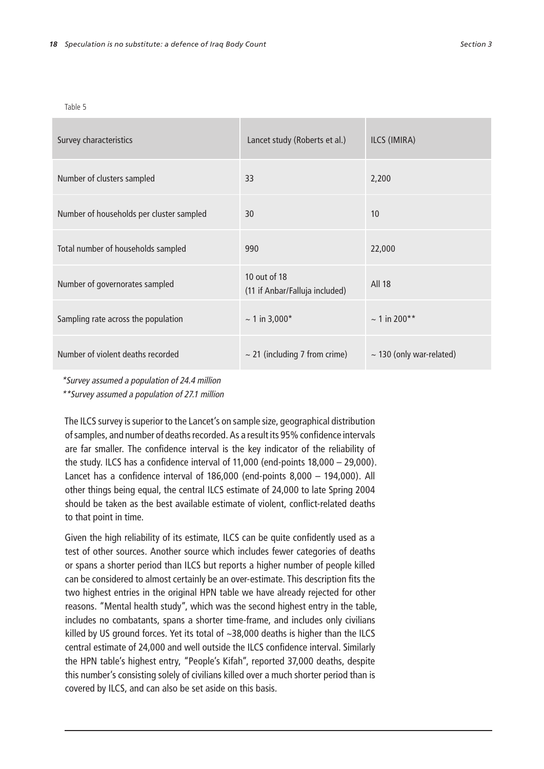Table 5

| Survey characteristics                   | Lancet study (Roberts et al.)                  | ILCS (IMIRA)                  |
|------------------------------------------|------------------------------------------------|-------------------------------|
| Number of clusters sampled               | 33                                             | 2,200                         |
| Number of households per cluster sampled | 30                                             | 10                            |
| Total number of households sampled       | 990                                            | 22,000                        |
| Number of governorates sampled           | 10 out of 18<br>(11 if Anbar/Falluja included) | All 18                        |
| Sampling rate across the population      | $\sim$ 1 in 3,000*                             | $\sim$ 1 in 200**             |
| Number of violent deaths recorded        | $\sim$ 21 (including 7 from crime)             | $\sim$ 130 (only war-related) |

\*Survey assumed a population of 24.4 million

\*\*Survey assumed a population of 27.1 million

The ILCS survey is superior to the Lancet's on sample size, geographical distribution of samples, and number of deaths recorded. As a result its 95% confidence intervals are far smaller. The confidence interval is the key indicator of the reliability of the study. ILCS has a confidence interval of 11,000 (end-points 18,000 – 29,000). Lancet has a confidence interval of 186,000 (end-points 8,000 – 194,000). All other things being equal, the central ILCS estimate of 24,000 to late Spring 2004 should be taken as the best available estimate of violent, conflict-related deaths to that point in time.

Given the high reliability of its estimate, ILCS can be quite confidently used as a test of other sources. Another source which includes fewer categories of deaths or spans a shorter period than ILCS but reports a higher number of people killed can be considered to almost certainly be an over-estimate. This description fits the two highest entries in the original HPN table we have already rejected for other reasons. "Mental health study", which was the second highest entry in the table, includes no combatants, spans a shorter time-frame, and includes only civilians killed by US ground forces. Yet its total of ~38,000 deaths is higher than the ILCS central estimate of 24,000 and well outside the ILCS confidence interval. Similarly the HPN table's highest entry, "People's Kifah", reported 37,000 deaths, despite this number's consisting solely of civilians killed over a much shorter period than is covered by ILCS, and can also be set aside on this basis.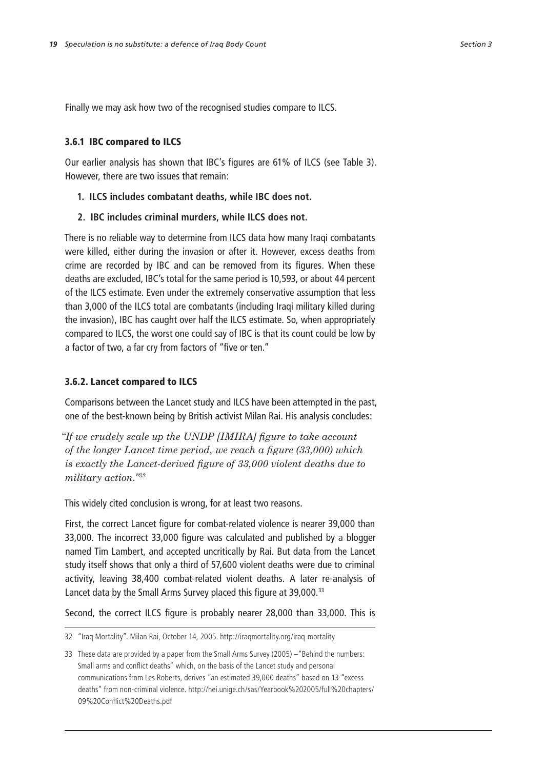Finally we may ask how two of the recognised studies compare to ILCS.

#### 3.6.1 IBC compared to ILCS

Our earlier analysis has shown that IBC's figures are 61% of ILCS (see Table 3). However, there are two issues that remain:

- **1. ILCS includes combatant deaths, while IBC does not.**
- **2. IBC includes criminal murders, while ILCS does not.**

There is no reliable way to determine from ILCS data how many Iraqi combatants were killed, either during the invasion or after it. However, excess deaths from crime are recorded by IBC and can be removed from its figures. When these deaths are excluded, IBC's total for the same period is 10,593, or about 44 percent of the ILCS estimate. Even under the extremely conservative assumption that less than 3,000 of the ILCS total are combatants (including Iraqi military killed during the invasion), IBC has caught over half the ILCS estimate. So, when appropriately compared to ILCS, the worst one could say of IBC is that its count could be low by a factor of two, a far cry from factors of "five or ten."

## 3.6.2. Lancet compared to ILCS

Comparisons between the Lancet study and ILCS have been attempted in the past, one of the best-known being by British activist Milan Rai. His analysis concludes:

*"If we crudely scale up the UNDP [IMIRA] figure to take account of the longer Lancet time period, we reach a figure (33,000) which is exactly the Lancet-derived figure of 33,000 violent deaths due to military action."<sup>32</sup>*

This widely cited conclusion is wrong, for at least two reasons.

First, the correct Lancet figure for combat-related violence is nearer 39,000 than 33,000. The incorrect 33,000 figure was calculated and published by a blogger named Tim Lambert, and accepted uncritically by Rai. But data from the Lancet study itself shows that only a third of 57,600 violent deaths were due to criminal activity, leaving 38,400 combat-related violent deaths. A later re-analysis of Lancet data by the Small Arms Survey placed this figure at 39,000.<sup>33</sup>

Second, the correct ILCS figure is probably nearer 28,000 than 33,000. This is

<sup>32</sup> "Iraq Mortality". Milan Rai, October 14, 2005. http://iraqmortality.org/iraq-mortality

<sup>33</sup> These data are provided by a paper from the Small Arms Survey (2005) –"Behind the numbers: Small arms and conflict deaths" which, on the basis of the Lancet study and personal communications from Les Roberts, derives "an estimated 39,000 deaths" based on 13 "excess deaths" from non-criminal violence. http://hei.unige.ch/sas/Yearbook%202005/full%20chapters/ 09%20Conflict%20Deaths.pdf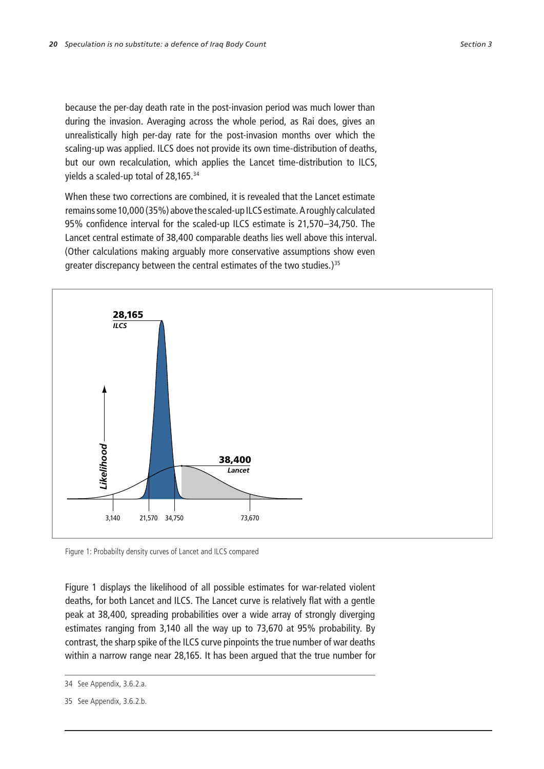because the per-day death rate in the post-invasion period was much lower than during the invasion. Averaging across the whole period, as Rai does, gives an unrealistically high per-day rate for the post-invasion months over which the scaling-up was applied. ILCS does not provide its own time-distribution of deaths, but our own recalculation, which applies the Lancet time-distribution to ILCS, yields a scaled-up total of 28,165. $^3$ 

When these two corrections are combined, it is revealed that the Lancet estimate remains some 10,000 (35%) above the scaled-up ILCS estimate. A roughly calculated 95% confidence interval for the scaled-up ILCS estimate is 21,570–34,750. The Lancet central estimate of 38,400 comparable deaths lies well above this interval. (Other calculations making arguably more conservative assumptions show even greater discrepancy between the central estimates of the two studies.)<sup>35</sup>



Figure 1: Probabilty density curves of Lancet and ILCS compared

Figure 1 displays the likelihood of all possible estimates for war-related violent deaths, for both Lancet and ILCS. The Lancet curve is relatively flat with a gentle peak at 38,400, spreading probabilities over a wide array of strongly diverging estimates ranging from 3,140 all the way up to 73,670 at 95% probability. By contrast, the sharp spike of the ILCS curve pinpoints the true number of war deaths within a narrow range near 28,165. It has been argued that the true number for

<sup>34</sup> See Appendix, 3.6.2.a.

<sup>35</sup> See Appendix, 3.6.2.b.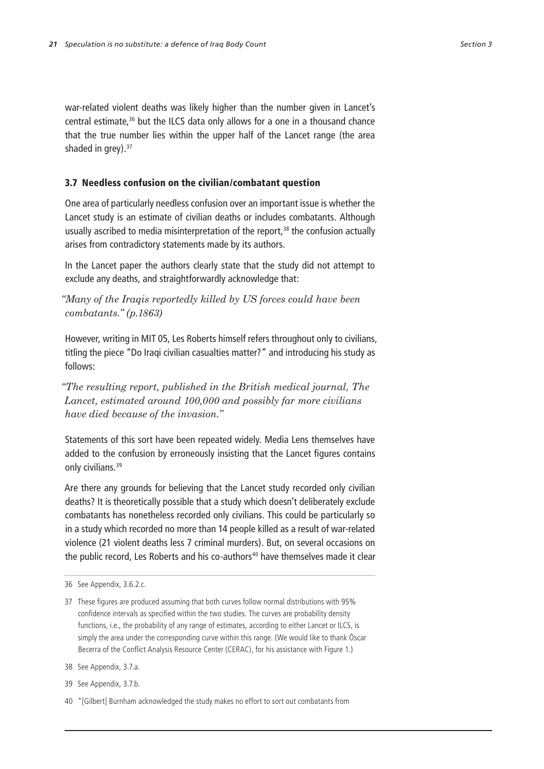war-related violent deaths was likely higher than the number given in Lancet's central estimate, $36$  but the ILCS data only allows for a one in a thousand chance that the true number lies within the upper half of the Lancet range (the area shaded in grey). $37$ 

## 3.7 Needless confusion on the civilian/combatant question

One area of particularly needless confusion over an important issue is whether the Lancet study is an estimate of civilian deaths or includes combatants. Although usually ascribed to media misinterpretation of the report, $38$  the confusion actually arises from contradictory statements made by its authors.

In the Lancet paper the authors clearly state that the study did not attempt to exclude any deaths, and straightforwardly acknowledge that:

*"Many of the Iraqis reportedly killed by US forces could have been combatants." (p.1863)*

However, writing in MIT 05, Les Roberts himself refers throughout only to civilians, titling the piece "Do Iraqi civilian casualties matter?" and introducing his study as follows:

*"The resulting report, published in the British medical journal, The Lancet, estimated around 100,000 and possibly far more civilians have died because of the invasion."*

Statements of this sort have been repeated widely. Media Lens themselves have added to the confusion by erroneously insisting that the Lancet figures contains only civilians.<sup>39</sup>

Are there any grounds for believing that the Lancet study recorded only civilian deaths? It is theoretically possible that a study which doesn't deliberately exclude combatants has nonetheless recorded only civilians. This could be particularly so in a study which recorded no more than 14 people killed as a result of war-related violence (21 violent deaths less 7 criminal murders). But, on several occasions on the public record, Les Roberts and his co-authors<sup>40</sup> have themselves made it clear

<sup>36</sup> See Appendix, 3.6.2.c.

<sup>37</sup> These figures are produced assuming that both curves follow normal distributions with 95% confidence intervals as specified within the two studies. The curves are probability density functions, i.e., the probability of any range of estimates, according to either Lancet or ILCS, is simply the area under the corresponding curve within this range. (We would like to thank Óscar Becerra of the Conflict Analysis Resource Center (CERAC), for his assistance with Figure 1.)

<sup>38</sup> See Appendix, 3.7.a.

<sup>39</sup> See Appendix, 3.7.b.

<sup>40</sup> "[Gilbert] Burnham acknowledged the study makes no effort to sort out combatants from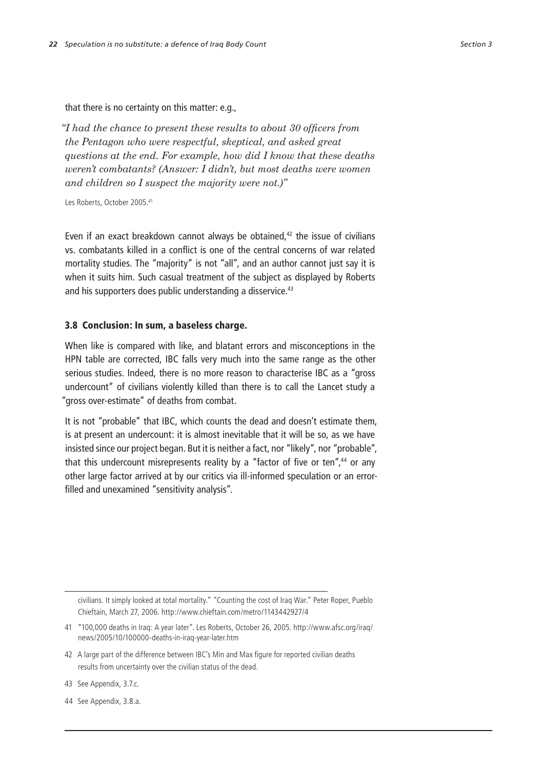that there is no certainty on this matter: e.g.,

*"I had the chance to present these results to about 30 officers from the Pentagon who were respectful, skeptical, and asked great questions at the end. For example, how did I know that these deaths weren't combatants? (Answer: I didn't, but most deaths were women and children so I suspect the majority were not.)"*

Les Roberts, October 2005. 41

Even if an exact breakdown cannot always be obtained, $42$  the issue of civilians vs. combatants killed in a conflict is one of the central concerns of war related mortality studies. The "majority" is not "all", and an author cannot just say it is when it suits him. Such casual treatment of the subject as displayed by Roberts and his supporters does public understanding a disservice.<sup>43</sup>

### 3.8 Conclusion: In sum, a baseless charge.

When like is compared with like, and blatant errors and misconceptions in the HPN table are corrected, IBC falls very much into the same range as the other serious studies. Indeed, there is no more reason to characterise IBC as a "gross undercount" of civilians violently killed than there is to call the Lancet study a "gross over-estimate" of deaths from combat.

It is not "probable" that IBC, which counts the dead and doesn't estimate them, is at present an undercount: it is almost inevitable that it will be so, as we have insisted since our project began. But it is neither a fact, nor "likely", nor "probable", that this undercount misrepresents reality by a "factor of five or ten", $44$  or any other large factor arrived at by our critics via ill-informed speculation or an errorfilled and unexamined "sensitivity analysis".

civilians. It simply looked at total mortality." "Counting the cost of Iraq War." Peter Roper, Pueblo Chieftain, March 27, 2006. http://www.chieftain.com/metro/1143442927/4

<sup>41</sup> "100,000 deaths in Iraq: A year later". Les Roberts, October 26, 2005. http://www.afsc.org/iraq/ news/2005/10/100000-deaths-in-iraq-year-later.htm

<sup>42</sup> A large part of the difference between IBC's Min and Max figure for reported civilian deaths results from uncertainty over the civilian status of the dead.

<sup>43</sup> See Appendix, 3.7.c.

<sup>44</sup> See Appendix, 3.8.a.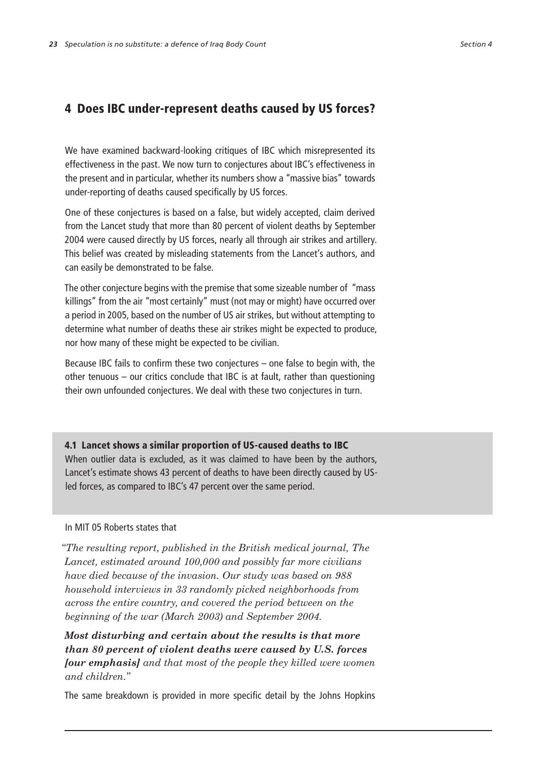## 4 Does IBC under-represent deaths caused by US forces?

We have examined backward-looking critiques of IBC which misrepresented its effectiveness in the past. We now turn to conjectures about IBC's effectiveness in the present and in particular, whether its numbers show a "massive bias" towards under-reporting of deaths caused specifically by US forces.

One of these conjectures is based on a false, but widely accepted, claim derived from the Lancet study that more than 80 percent of violent deaths by September 2004 were caused directly by US forces, nearly all through air strikes and artillery. This belief was created by misleading statements from the Lancet's authors, and can easily be demonstrated to be false.

The other conjecture begins with the premise that some sizeable number of "mass killings" from the air "most certainly" must (not may or might) have occurred over a period in 2005, based on the number of US air strikes, but without attempting to determine what number of deaths these air strikes might be expected to produce, nor how many of these might be expected to be civilian.

Because IBC fails to confirm these two conjectures – one false to begin with, the other tenuous – our critics conclude that IBC is at fault, rather than questioning their own unfounded conjectures. We deal with these two conjectures in turn.

4.1 Lancet shows a similar proportion of US-caused deaths to IBC When outlier data is excluded, as it was claimed to have been by the authors, Lancet's estimate shows 43 percent of deaths to have been directly caused by USled forces, as compared to IBC's 47 percent over the same period.

## In MIT 05 Roberts states that

*"The resulting report, published in the British medical journal, The Lancet, estimated around 100,000 and possibly far more civilians have died because of the invasion. Our study was based on 988 household interviews in 33 randomly picked neighborhoods from across the entire country, and covered the period between on the beginning of the war (March 2003) and September 2004.*

*Most disturbing and certain about the results is that more than 80 percent of violent deaths were caused by U.S. forces [our emphasis] and that most of the people they killed were women and children."* 

The same breakdown is provided in more specific detail by the Johns Hopkins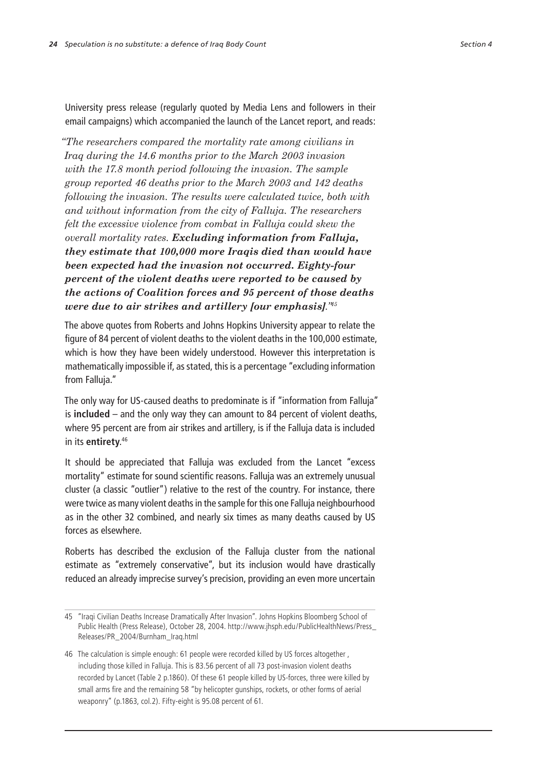University press release (regularly quoted by Media Lens and followers in their email campaigns) which accompanied the launch of the Lancet report, and reads:

*"The researchers compared the mortality rate among civilians in Iraq during the 14.6 months prior to the March 2003 invasion with the 17.8 month period following the invasion. The sample group reported 46 deaths prior to the March 2003 and 142 deaths following the invasion. The results were calculated twice, both with and without information from the city of Falluja. The researchers felt the excessive violence from combat in Falluja could skew the overall mortality rates. Excluding information from Falluja, they estimate that 100,000 more Iraqis died than would have been expected had the invasion not occurred. Eighty-four percent of the violent deaths were reported to be caused by the actions of Coalition forces and 95 percent of those deaths were due to air strikes and artillery [our emphasis]."<sup>45</sup>*

The above quotes from Roberts and Johns Hopkins University appear to relate the figure of 84 percent of violent deaths to the violent deaths in the 100,000 estimate, which is how they have been widely understood. However this interpretation is mathematically impossible if, as stated, this is a percentage "excluding information from Falluja."

The only way for US-caused deaths to predominate is if "information from Falluja" is **included** – and the only way they can amount to 84 percent of violent deaths, where 95 percent are from air strikes and artillery, is if the Falluja data is included in its **entirety**. 46

It should be appreciated that Falluja was excluded from the Lancet "excess mortality" estimate for sound scientific reasons. Falluja was an extremely unusual cluster (a classic "outlier") relative to the rest of the country. For instance, there were twice as many violent deaths in the sample for this one Falluja neighbourhood as in the other 32 combined, and nearly six times as many deaths caused by US forces as elsewhere.

Roberts has described the exclusion of the Falluja cluster from the national estimate as "extremely conservative", but its inclusion would have drastically reduced an already imprecise survey's precision, providing an even more uncertain

<sup>45</sup> "Iraqi Civilian Deaths Increase Dramatically After Invasion". Johns Hopkins Bloomberg School of Public Health (Press Release), October 28, 2004. http://www.jhsph.edu/PublicHealthNews/Press\_ Releases/PR\_2004/Burnham\_Iraq.html

<sup>46</sup> The calculation is simple enough: 61 people were recorded killed by US forces altogether , including those killed in Falluja. This is 83.56 percent of all 73 post-invasion violent deaths recorded by Lancet (Table 2 p.1860). Of these 61 people killed by US-forces, three were killed by small arms fire and the remaining 58 "by helicopter gunships, rockets, or other forms of aerial weaponry" (p.1863, col.2). Fifty-eight is 95.08 percent of 61.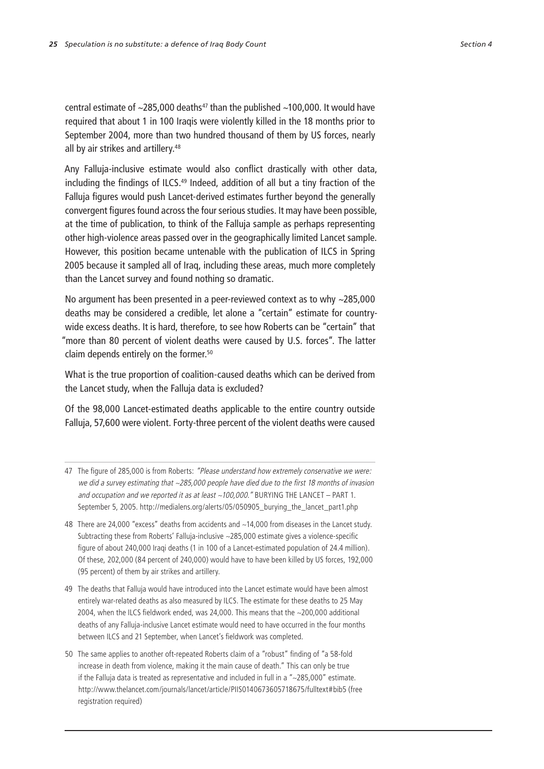central estimate of  $\sim$ 285,000 deaths<sup>47</sup> than the published  $\sim$ 100,000. It would have required that about 1 in 100 Iraqis were violently killed in the 18 months prior to September 2004, more than two hundred thousand of them by US forces, nearly all by air strikes and artillery.<sup>48</sup>

Any Falluja-inclusive estimate would also conflict drastically with other data, including the findings of ILCS.<sup>49</sup> Indeed, addition of all but a tiny fraction of the Falluja figures would push Lancet-derived estimates further beyond the generally convergent figures found across the four serious studies. It may have been possible, at the time of publication, to think of the Falluja sample as perhaps representing other high-violence areas passed over in the geographically limited Lancet sample. However, this position became untenable with the publication of ILCS in Spring 2005 because it sampled all of Iraq, including these areas, much more completely than the Lancet survey and found nothing so dramatic.

No argument has been presented in a peer-reviewed context as to why ~285,000 deaths may be considered a credible, let alone a "certain" estimate for countrywide excess deaths. It is hard, therefore, to see how Roberts can be "certain" that "more than 80 percent of violent deaths were caused by U.S. forces". The latter claim depends entirely on the former.<sup>50</sup>

What is the true proportion of coalition-caused deaths which can be derived from the Lancet study, when the Falluja data is excluded?

Of the 98,000 Lancet-estimated deaths applicable to the entire country outside Falluja, 57,600 were violent. Forty-three percent of the violent deaths were caused

- 47 The figure of 285,000 is from Roberts: "Please understand how extremely conservative we were: we did a survey estimating that ~285,000 people have died due to the first 18 months of invasion and occupation and we reported it as at least  $\sim$ 100,000." BURYING THE LANCET – PART 1. September 5, 2005. http://medialens.org/alerts/05/050905\_burying\_the\_lancet\_part1.php
- 48 There are 24,000 "excess" deaths from accidents and ~14,000 from diseases in the Lancet study. Subtracting these from Roberts' Falluja-inclusive ~285,000 estimate gives a violence-specific figure of about 240,000 Iraqi deaths (1 in 100 of a Lancet-estimated population of 24.4 million). Of these, 202,000 (84 percent of 240,000) would have to have been killed by US forces, 192,000 (95 percent) of them by air strikes and artillery.
- 49 The deaths that Falluja would have introduced into the Lancet estimate would have been almost entirely war-related deaths as also measured by ILCS. The estimate for these deaths to 25 May 2004, when the ILCS fieldwork ended, was 24,000. This means that the ~200,000 additional deaths of any Falluja-inclusive Lancet estimate would need to have occurred in the four months between ILCS and 21 September, when Lancet's fieldwork was completed.
- 50 The same applies to another oft-repeated Roberts claim of a "robust" finding of "a 58-fold increase in death from violence, making it the main cause of death." This can only be true if the Falluja data is treated as representative and included in full in a "~285,000" estimate. http://www.thelancet.com/journals/lancet/article/PIIS0140673605718675/fulltext#bib5 (free registration required)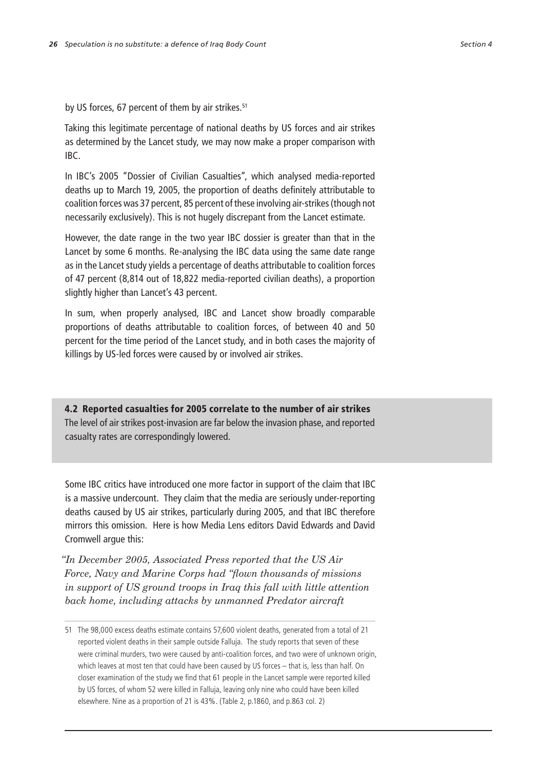by US forces, 67 percent of them by air strikes.<sup>51</sup>

Taking this legitimate percentage of national deaths by US forces and air strikes as determined by the Lancet study, we may now make a proper comparison with IBC.

In IBC's 2005 "Dossier of Civilian Casualties", which analysed media-reported deaths up to March 19, 2005, the proportion of deaths definitely attributable to coalition forces was 37 percent, 85 percent of these involving air-strikes (though not necessarily exclusively). This is not hugely discrepant from the Lancet estimate.

However, the date range in the two year IBC dossier is greater than that in the Lancet by some 6 months. Re-analysing the IBC data using the same date range as in the Lancet study yields a percentage of deaths attributable to coalition forces of 47 percent (8,814 out of 18,822 media-reported civilian deaths), a proportion slightly higher than Lancet's 43 percent.

In sum, when properly analysed, IBC and Lancet show broadly comparable proportions of deaths attributable to coalition forces, of between 40 and 50 percent for the time period of the Lancet study, and in both cases the majority of killings by US-led forces were caused by or involved air strikes.

4.2 Reported casualties for 2005 correlate to the number of air strikes The level of air strikes post-invasion are far below the invasion phase, and reported casualty rates are correspondingly lowered.

Some IBC critics have introduced one more factor in support of the claim that IBC is a massive undercount. They claim that the media are seriously under-reporting deaths caused by US air strikes, particularly during 2005, and that IBC therefore mirrors this omission. Here is how Media Lens editors David Edwards and David Cromwell argue this:

*"In December 2005, Associated Press reported that the US Air Force, Navy and Marine Corps had "flown thousands of missions in support of US ground troops in Iraq this fall with little attention back home, including attacks by unmanned Predator aircraft* 

<sup>51</sup> The 98,000 excess deaths estimate contains 57,600 violent deaths, generated from a total of 21 reported violent deaths in their sample outside Falluja. The study reports that seven of these were criminal murders, two were caused by anti-coalition forces, and two were of unknown origin, which leaves at most ten that could have been caused by US forces – that is, less than half. On closer examination of the study we find that 61 people in the Lancet sample were reported killed by US forces, of whom 52 were killed in Falluja, leaving only nine who could have been killed elsewhere. Nine as a proportion of 21 is 43%. (Table 2, p.1860, and p.863 col. 2)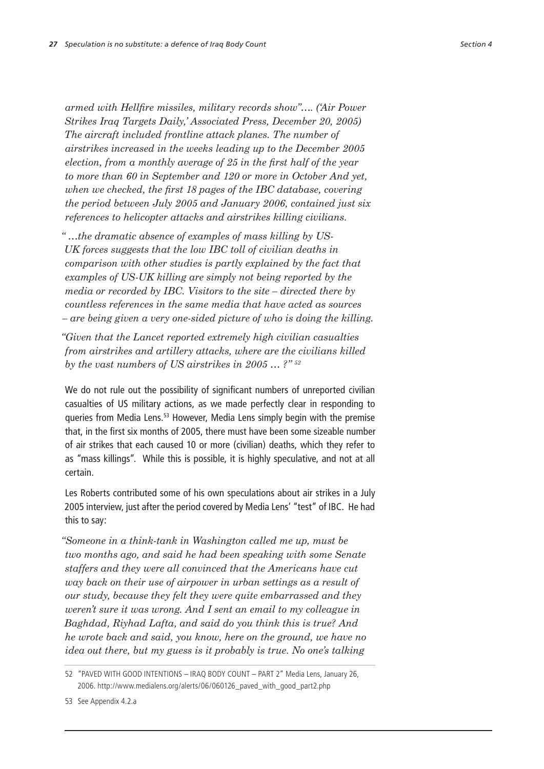*armed with Hellfire missiles, military records show"…. ('Air Power Strikes Iraq Targets Daily,' Associated Press, December 20, 2005) The aircraft included frontline attack planes. The number of airstrikes increased in the weeks leading up to the December 2005 election, from a monthly average of 25 in the first half of the year to more than 60 in September and 120 or more in October And yet, when we checked, the first 18 pages of the IBC database, covering the period between July 2005 and January 2006, contained just six references to helicopter attacks and airstrikes killing civilians.*

*" …the dramatic absence of examples of mass killing by US-UK forces suggests that the low IBC toll of civilian deaths in comparison with other studies is partly explained by the fact that examples of US-UK killing are simply not being reported by the media or recorded by IBC. Visitors to the site – directed there by countless references in the same media that have acted as sources – are being given a very one-sided picture of who is doing the killing.*

*"Given that the Lancet reported extremely high civilian casualties from airstrikes and artillery attacks, where are the civilians killed by the vast numbers of US airstrikes in 2005 … ?" 52*

We do not rule out the possibility of significant numbers of unreported civilian casualties of US military actions, as we made perfectly clear in responding to queries from Media Lens.<sup>53</sup> However, Media Lens simply begin with the premise that, in the first six months of 2005, there must have been some sizeable number of air strikes that each caused 10 or more (civilian) deaths, which they refer to as "mass killings". While this is possible, it is highly speculative, and not at all certain.

Les Roberts contributed some of his own speculations about air strikes in a July 2005 interview, just after the period covered by Media Lens' "test" of IBC. He had this to say:

*"Someone in a think-tank in Washington called me up, must be two months ago, and said he had been speaking with some Senate staffers and they were all convinced that the Americans have cut way back on their use of airpower in urban settings as a result of our study, because they felt they were quite embarrassed and they weren't sure it was wrong. And I sent an email to my colleague in Baghdad, Riyhad Lafta, and said do you think this is true? And he wrote back and said, you know, here on the ground, we have no idea out there, but my guess is it probably is true. No one's talking* 

<sup>52</sup> "PAVED WITH GOOD INTENTIONS – IRAQ BODY COUNT – PART 2" Media Lens, January 26, 2006. http://www.medialens.org/alerts/06/060126\_paved\_with\_good\_part2.php

<sup>53</sup> See Appendix 4.2.a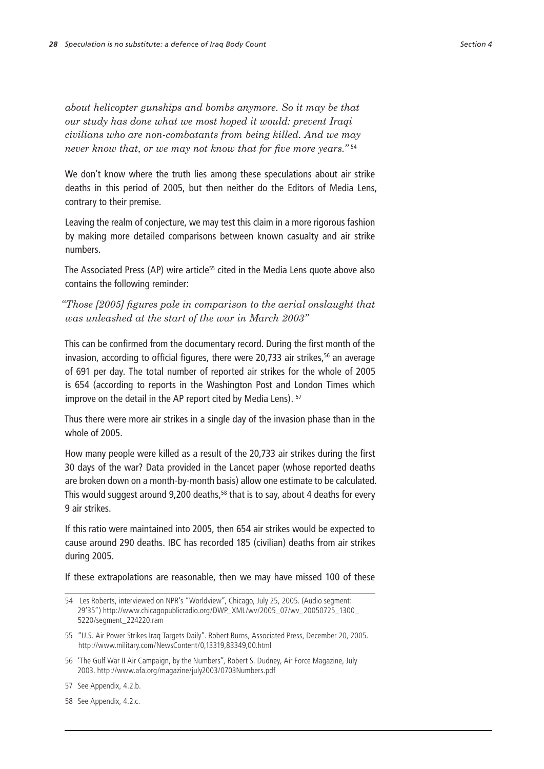*about helicopter gunships and bombs anymore. So it may be that our study has done what we most hoped it would: prevent Iraqi civilians who are non-combatants from being killed. And we may never know that, or we may not know that for five more years."* <sup>54</sup>

We don't know where the truth lies among these speculations about air strike deaths in this period of 2005, but then neither do the Editors of Media Lens, contrary to their premise.

Leaving the realm of conjecture, we may test this claim in a more rigorous fashion by making more detailed comparisons between known casualty and air strike numbers.

The Associated Press (AP) wire article<sup>55</sup> cited in the Media Lens quote above also contains the following reminder:

*"Those [2005] figures pale in comparison to the aerial onslaught that was unleashed at the start of the war in March 2003"*

This can be confirmed from the documentary record. During the first month of the invasion, according to official figures, there were 20,733 air strikes, $56$  an average of 691 per day. The total number of reported air strikes for the whole of 2005 is 654 (according to reports in the Washington Post and London Times which improve on the detail in the AP report cited by Media Lens). <sup>57</sup>

Thus there were more air strikes in a single day of the invasion phase than in the whole of 2005.

How many people were killed as a result of the 20,733 air strikes during the first 30 days of the war? Data provided in the Lancet paper (whose reported deaths are broken down on a month-by-month basis) allow one estimate to be calculated. This would suggest around 9,200 deaths,<sup>58</sup> that is to say, about 4 deaths for every 9 air strikes.

If this ratio were maintained into 2005, then 654 air strikes would be expected to cause around 290 deaths. IBC has recorded 185 (civilian) deaths from air strikes during 2005.

If these extrapolations are reasonable, then we may have missed 100 of these

57 See Appendix, 4.2.b.

58 See Appendix, 4.2.c.

<sup>54</sup> Les Roberts, interviewed on NPR's "Worldview", Chicago, July 25, 2005. (Audio segment: 29'35") http://www.chicagopublicradio.org/DWP\_XML/wv/2005\_07/wv\_20050725\_1300\_ 5220/segment\_224220.ram

<sup>55</sup> "U.S. Air Power Strikes Iraq Targets Daily". Robert Burns, Associated Press, December 20, 2005. http://www.military.com/NewsContent/0,13319,83349,00.html

<sup>56</sup> 'The Gulf War II Air Campaign, by the Numbers", Robert S. Dudney, Air Force Magazine, July 2003. http://www.afa.org/magazine/july2003/0703Numbers.pdf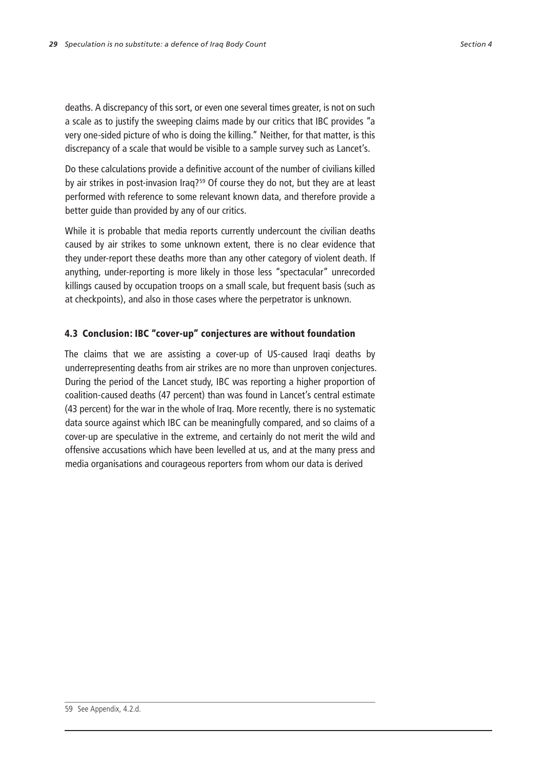deaths. A discrepancy of this sort, or even one several times greater, is not on such a scale as to justify the sweeping claims made by our critics that IBC provides "a very one-sided picture of who is doing the killing." Neither, for that matter, is this discrepancy of a scale that would be visible to a sample survey such as Lancet's.

Do these calculations provide a definitive account of the number of civilians killed by air strikes in post-invasion Iraq?<sup>59</sup> Of course they do not, but they are at least performed with reference to some relevant known data, and therefore provide a better guide than provided by any of our critics.

While it is probable that media reports currently undercount the civilian deaths caused by air strikes to some unknown extent, there is no clear evidence that they under-report these deaths more than any other category of violent death. If anything, under-reporting is more likely in those less "spectacular" unrecorded killings caused by occupation troops on a small scale, but frequent basis (such as at checkpoints), and also in those cases where the perpetrator is unknown.

## 4.3 Conclusion: IBC "cover-up" conjectures are without foundation

The claims that we are assisting a cover-up of US-caused Iraqi deaths by underrepresenting deaths from air strikes are no more than unproven conjectures. During the period of the Lancet study, IBC was reporting a higher proportion of coalition-caused deaths (47 percent) than was found in Lancet's central estimate (43 percent) for the war in the whole of Iraq. More recently, there is no systematic data source against which IBC can be meaningfully compared, and so claims of a cover-up are speculative in the extreme, and certainly do not merit the wild and offensive accusations which have been levelled at us, and at the many press and media organisations and courageous reporters from whom our data is derived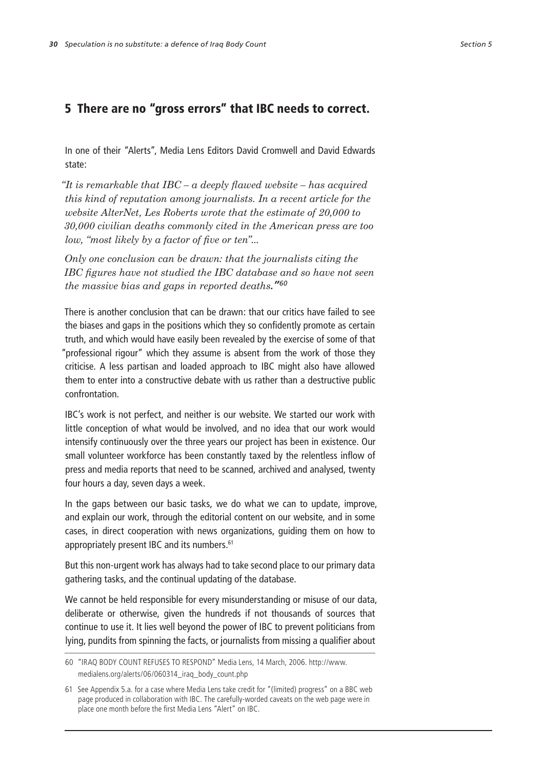## 5 There are no "gross errors" that IBC needs to correct.

In one of their "Alerts", Media Lens Editors David Cromwell and David Edwards state:

*"It is remarkable that IBC – a deeply flawed website – has acquired this kind of reputation among journalists. In a recent article for the website AlterNet, Les Roberts wrote that the estimate of 20,000 to 30,000 civilian deaths commonly cited in the American press are too low, "most likely by a factor of five or ten"...*

*Only one conclusion can be drawn: that the journalists citing the IBC figures have not studied the IBC database and so have not seen the massive bias and gaps in reported deaths."60*

There is another conclusion that can be drawn: that our critics have failed to see the biases and gaps in the positions which they so confidently promote as certain truth, and which would have easily been revealed by the exercise of some of that "professional rigour" which they assume is absent from the work of those they criticise. A less partisan and loaded approach to IBC might also have allowed them to enter into a constructive debate with us rather than a destructive public confrontation.

IBC's work is not perfect, and neither is our website. We started our work with little conception of what would be involved, and no idea that our work would intensify continuously over the three years our project has been in existence. Our small volunteer workforce has been constantly taxed by the relentless inflow of press and media reports that need to be scanned, archived and analysed, twenty four hours a day, seven days a week.

In the gaps between our basic tasks, we do what we can to update, improve, and explain our work, through the editorial content on our website, and in some cases, in direct cooperation with news organizations, guiding them on how to appropriately present IBC and its numbers.<sup>61</sup>

But this non-urgent work has always had to take second place to our primary data gathering tasks, and the continual updating of the database.

We cannot be held responsible for every misunderstanding or misuse of our data, deliberate or otherwise, given the hundreds if not thousands of sources that continue to use it. It lies well beyond the power of IBC to prevent politicians from lying, pundits from spinning the facts, or journalists from missing a qualifier about

<sup>60</sup> "IRAQ BODY COUNT REFUSES TO RESPOND" Media Lens, 14 March, 2006. http://www. medialens.org/alerts/06/060314\_iraq\_body\_count.php

<sup>61</sup> See Appendix 5.a. for a case where Media Lens take credit for "(limited) progress" on a BBC web page produced in collaboration with IBC. The carefully-worded caveats on the web page were in place one month before the first Media Lens "Alert" on IBC.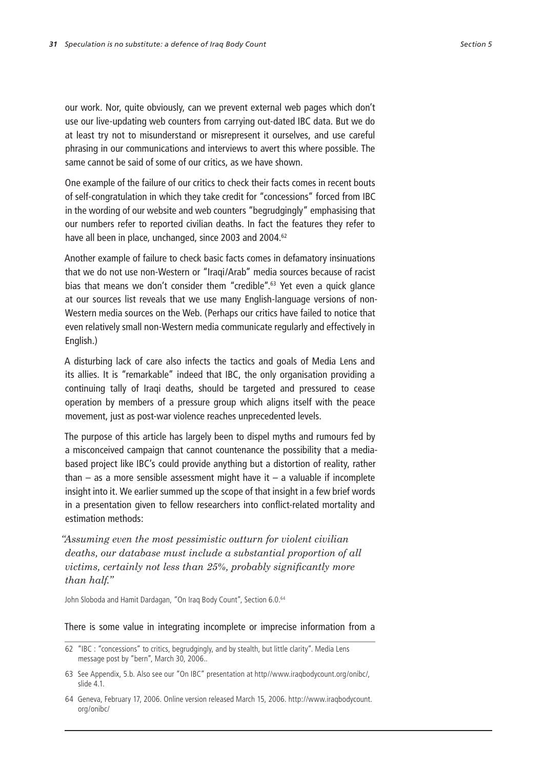our work. Nor, quite obviously, can we prevent external web pages which don't use our live-updating web counters from carrying out-dated IBC data. But we do at least try not to misunderstand or misrepresent it ourselves, and use careful phrasing in our communications and interviews to avert this where possible. The same cannot be said of some of our critics, as we have shown.

One example of the failure of our critics to check their facts comes in recent bouts of self-congratulation in which they take credit for "concessions" forced from IBC in the wording of our website and web counters "begrudgingly" emphasising that our numbers refer to reported civilian deaths. In fact the features they refer to have all been in place, unchanged, since 2003 and 2004.<sup>62</sup>

Another example of failure to check basic facts comes in defamatory insinuations that we do not use non-Western or "Iraqi/Arab" media sources because of racist bias that means we don't consider them "credible".<sup>63</sup> Yet even a quick glance at our sources list reveals that we use many English-language versions of non-Western media sources on the Web. (Perhaps our critics have failed to notice that even relatively small non-Western media communicate regularly and effectively in English.)

A disturbing lack of care also infects the tactics and goals of Media Lens and its allies. It is "remarkable" indeed that IBC, the only organisation providing a continuing tally of Iraqi deaths, should be targeted and pressured to cease operation by members of a pressure group which aligns itself with the peace movement, just as post-war violence reaches unprecedented levels.

The purpose of this article has largely been to dispel myths and rumours fed by a misconceived campaign that cannot countenance the possibility that a mediabased project like IBC's could provide anything but a distortion of reality, rather than – as a more sensible assessment might have it – a valuable if incomplete insight into it. We earlier summed up the scope of that insight in a few brief words in a presentation given to fellow researchers into conflict-related mortality and estimation methods:

*"Assuming even the most pessimistic outturn for violent civilian deaths, our database must include a substantial proportion of all victims, certainly not less than 25%, probably significantly more than half."*

John Sloboda and Hamit Dardagan, "On Iraq Body Count", Section 6.0.<sup>64</sup>

#### There is some value in integrating incomplete or imprecise information from a

<sup>62</sup> "IBC : "concessions" to critics, begrudgingly, and by stealth, but little clarity". Media Lens message post by "bern", March 30, 2006..

<sup>63</sup> See Appendix, 5.b. Also see our "On IBC" presentation at http//www.iraqbodycount.org/onibc/, slide 4.1.

<sup>64</sup> Geneva, February 17, 2006. Online version released March 15, 2006. http://www.iraqbodycount. org/onibc/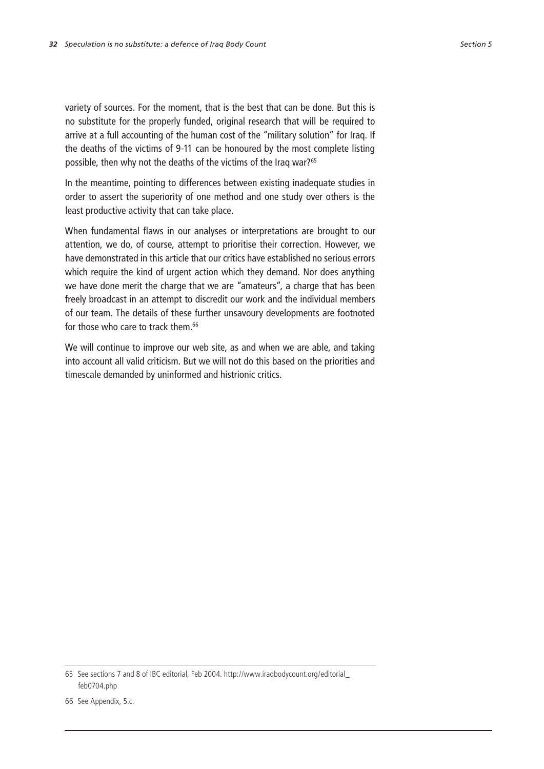variety of sources. For the moment, that is the best that can be done. But this is no substitute for the properly funded, original research that will be required to arrive at a full accounting of the human cost of the "military solution" for Iraq. If the deaths of the victims of 9-11 can be honoured by the most complete listing possible, then why not the deaths of the victims of the Iraq war?<sup>65</sup>

In the meantime, pointing to differences between existing inadequate studies in order to assert the superiority of one method and one study over others is the least productive activity that can take place.

When fundamental flaws in our analyses or interpretations are brought to our attention, we do, of course, attempt to prioritise their correction. However, we have demonstrated in this article that our critics have established no serious errors which require the kind of urgent action which they demand. Nor does anything we have done merit the charge that we are "amateurs", a charge that has been freely broadcast in an attempt to discredit our work and the individual members of our team. The details of these further unsavoury developments are footnoted for those who care to track them.<sup>66</sup>

We will continue to improve our web site, as and when we are able, and taking into account all valid criticism. But we will not do this based on the priorities and timescale demanded by uninformed and histrionic critics.

<sup>65</sup> See sections 7 and 8 of IBC editorial, Feb 2004. http://www.iraqbodycount.org/editorial\_ feb0704.php

<sup>66</sup> See Appendix, 5.c.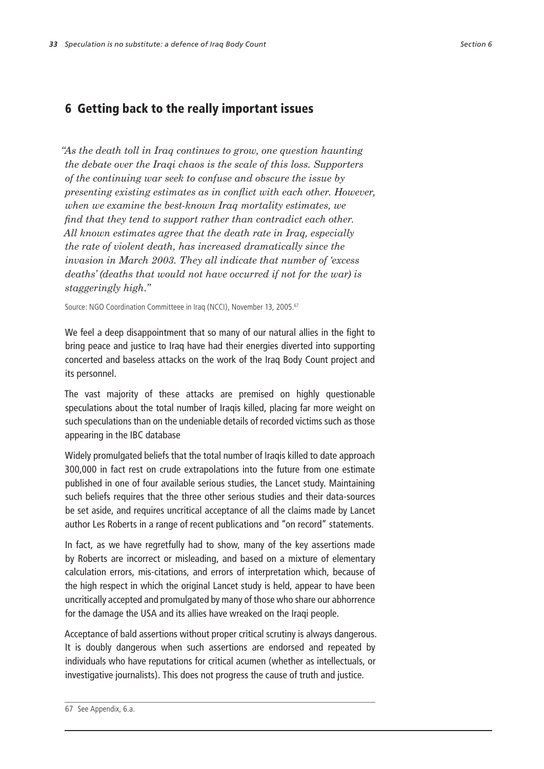## 6 Getting back to the really important issues

*"As the death toll in Iraq continues to grow, one question haunting the debate over the Iraqi chaos is the scale of this loss. Supporters of the continuing war seek to confuse and obscure the issue by presenting existing estimates as in conflict with each other. However, when we examine the best-known Iraq mortality estimates, we find that they tend to support rather than contradict each other. All known estimates agree that the death rate in Iraq, especially the rate of violent death, has increased dramatically since the invasion in March 2003. They all indicate that number of 'excess deaths' (deaths that would not have occurred if not for the war) is staggeringly high."*

Source: NGO Coordination Committeee in Iraq (NCCI), November 13, 2005.<sup>67</sup>

We feel a deep disappointment that so many of our natural allies in the fight to bring peace and justice to Iraq have had their energies diverted into supporting concerted and baseless attacks on the work of the Iraq Body Count project and its personnel.

The vast majority of these attacks are premised on highly questionable speculations about the total number of Iraqis killed, placing far more weight on such speculations than on the undeniable details of recorded victims such as those appearing in the IBC database

Widely promulgated beliefs that the total number of Iraqis killed to date approach 300,000 in fact rest on crude extrapolations into the future from one estimate published in one of four available serious studies, the Lancet study. Maintaining such beliefs requires that the three other serious studies and their data-sources be set aside, and requires uncritical acceptance of all the claims made by Lancet author Les Roberts in a range of recent publications and "on record" statements.

In fact, as we have regretfully had to show, many of the key assertions made by Roberts are incorrect or misleading, and based on a mixture of elementary calculation errors, mis-citations, and errors of interpretation which, because of the high respect in which the original Lancet study is held, appear to have been uncritically accepted and promulgated by many of those who share our abhorrence for the damage the USA and its allies have wreaked on the Iraqi people.

Acceptance of bald assertions without proper critical scrutiny is always dangerous. It is doubly dangerous when such assertions are endorsed and repeated by individuals who have reputations for critical acumen (whether as intellectuals, or investigative journalists). This does not progress the cause of truth and justice.

<sup>67</sup> See Appendix, 6.a.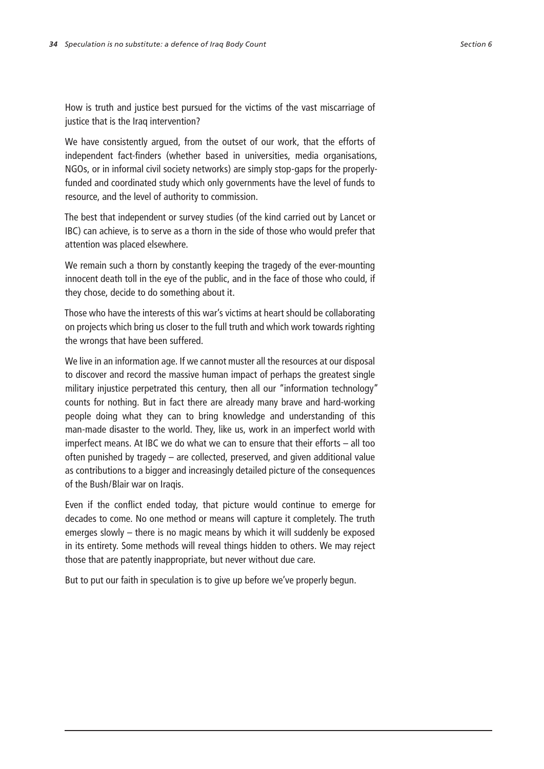How is truth and justice best pursued for the victims of the vast miscarriage of justice that is the Iraq intervention?

We have consistently argued, from the outset of our work, that the efforts of independent fact-finders (whether based in universities, media organisations, NGOs, or in informal civil society networks) are simply stop-gaps for the properlyfunded and coordinated study which only governments have the level of funds to resource, and the level of authority to commission.

The best that independent or survey studies (of the kind carried out by Lancet or IBC) can achieve, is to serve as a thorn in the side of those who would prefer that attention was placed elsewhere.

We remain such a thorn by constantly keeping the tragedy of the ever-mounting innocent death toll in the eye of the public, and in the face of those who could, if they chose, decide to do something about it.

Those who have the interests of this war's victims at heart should be collaborating on projects which bring us closer to the full truth and which work towards righting the wrongs that have been suffered.

We live in an information age. If we cannot muster all the resources at our disposal to discover and record the massive human impact of perhaps the greatest single military injustice perpetrated this century, then all our "information technology" counts for nothing. But in fact there are already many brave and hard-working people doing what they can to bring knowledge and understanding of this man-made disaster to the world. They, like us, work in an imperfect world with imperfect means. At IBC we do what we can to ensure that their efforts – all too often punished by tragedy – are collected, preserved, and given additional value as contributions to a bigger and increasingly detailed picture of the consequences of the Bush/Blair war on Iraqis.

Even if the conflict ended today, that picture would continue to emerge for decades to come. No one method or means will capture it completely. The truth emerges slowly – there is no magic means by which it will suddenly be exposed in its entirety. Some methods will reveal things hidden to others. We may reject those that are patently inappropriate, but never without due care.

But to put our faith in speculation is to give up before we've properly begun.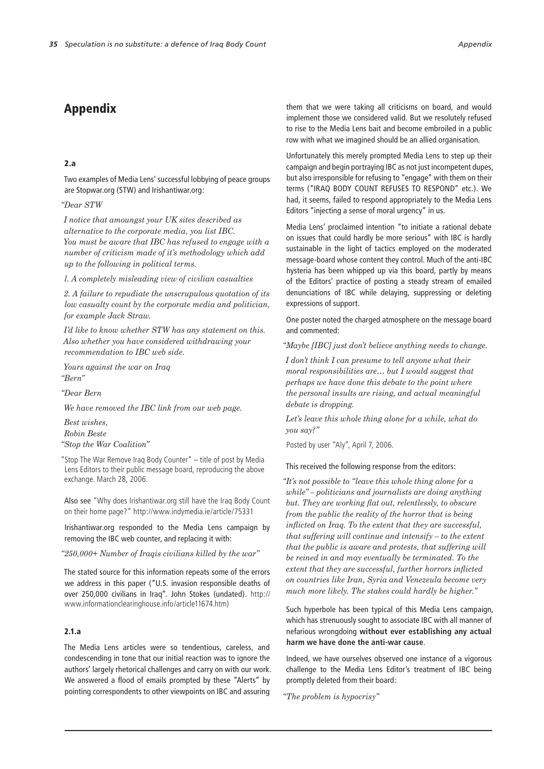## Appendix

#### 2.a

Two examples of Media Lens' successful lobbying of peace groups are Stopwar.org (STW) and Irishantiwar.org:

### *"Dear STW*

*I notice that amoungst your UK sites described as alternative to the corporate media, you list IBC. You must be aware that IBC has refused to engage with a number of criticism made of it's methodology which add up to the following in political terms.*

*l. A completely misleading view of civilian casualties*

*2. A failure to repudiate the unscrupulous quotation of its low casualty count by the corporate media and politician, for example Jack Straw.*

*I'd like to know whether STW has any statement on this. Also whether you have considered withdrawing your recommendation to IBC web side.*

*Yours against the war on Iraq "Bern"*

*"Dear Bern*

*We have removed the IBC link from our web page.*

*Best wishes, Robin Beste "Stop the War Coalition"*

"Stop The War Remove Iraq Body Counter" – title of post by Media Lens Editors to their public message board, reproducing the above exchange. March 28, 2006.

Also see "Why does Irishantiwar.org still have the Iraq Body Count on their home page?" http://www.indymedia.ie/article/75331

Irishantiwar.org responded to the Media Lens campaign by removing the IBC web counter, and replacing it with:

#### *"250,000+ Number of Iraqis civilians killed by the war"*

The stated source for this information repeats some of the errors we address in this paper ("U.S. invasion responsible deaths of over 250,000 civilians in Iraq". John Stokes (undated). http:// www.informationclearinghouse.info/article11674.htm)

### 2.1.a

The Media Lens articles were so tendentious, careless, and condescending in tone that our initial reaction was to ignore the authors' largely rhetorical challenges and carry on with our work. We answered a flood of emails prompted by these "Alerts" by pointing correspondents to other viewpoints on IBC and assuring

them that we were taking all criticisms on board, and would implement those we considered valid. But we resolutely refused to rise to the Media Lens bait and become embroiled in a public row with what we imagined should be an allied organisation.

Unfortunately this merely prompted Media Lens to step up their campaign and begin portraying IBC as not just incompetent dupes, but also irresponsible for refusing to "engage" with them on their terms ("IRAQ BODY COUNT REFUSES TO RESPOND" etc.). We had, it seems, failed to respond appropriately to the Media Lens Editors "injecting a sense of moral urgency" in us.

Media Lens' proclaimed intention "to initiate a rational debate on issues that could hardly be more serious" with IBC is hardly sustainable in the light of tactics employed on the moderated message-board whose content they control. Much of the anti-IBC hysteria has been whipped up via this board, partly by means of the Editors' practice of posting a steady stream of emailed denunciations of IBC while delaying, suppressing or deleting expressions of support.

One poster noted the charged atmosphere on the message board and commented:

*"Maybe [IBC] just don't believe anything needs to change.*

*I don't think I can presume to tell anyone what their moral responsibilities are… but I would suggest that perhaps we have done this debate to the point where the personal insults are rising, and actual meaningful debate is dropping.*

*Let's leave this whole thing alone for a while, what do you say?"*

Posted by user "Aly", April 7, 2006.

#### This received the following response from the editors:

*"It's not possible to "leave this whole thing alone for a while" – politicians and journalists are doing anything but. They are working flat out, relentlessly, to obscure from the public the reality of the horror that is being inflicted on Iraq. To the extent that they are successful, that suffering will continue and intensify – to the extent that the public is aware and protests, that suffering will be reined in and may eventually be terminated. To the extent that they are successful, further horrors inflicted on countries like Iran, Syria and Venezeula become very much more likely. The stakes could hardly be higher."*

Such hyperbole has been typical of this Media Lens campaign, which has strenuously sought to associate IBC with all manner of nefarious wrongdoing **without ever establishing any actual harm we have done the anti-war cause**.

Indeed, we have ourselves observed one instance of a vigorous challenge to the Media Lens Editor's treatment of IBC being promptly deleted from their board:

*"The problem is hypocrisy"*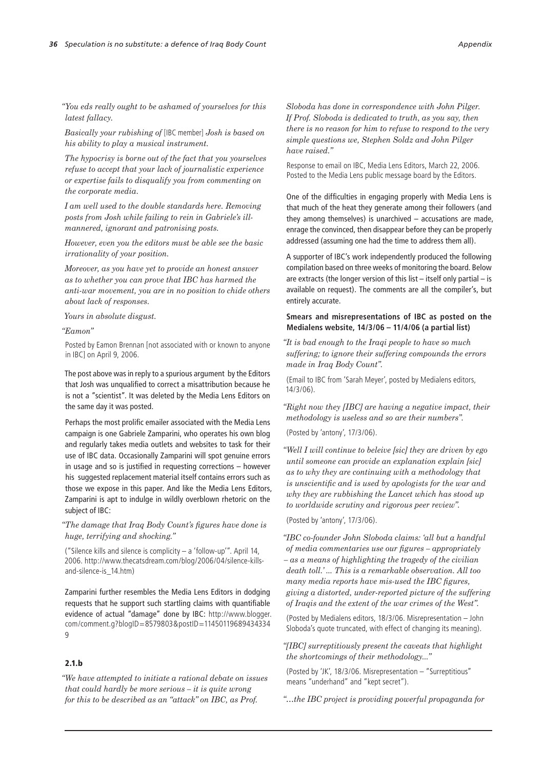*"You eds really ought to be ashamed of yourselves for this latest fallacy.*

*Basically your rubishing of* [IBC member] *Josh is based on his ability to play a musical instrument.*

*The hypocrisy is borne out of the fact that you yourselves refuse to accept that your lack of journalistic experience or expertise fails to disqualify you from commenting on the corporate media.*

*I am well used to the double standards here. Removing posts from Josh while failing to rein in Gabriele's illmannered, ignorant and patronising posts.*

*However, even you the editors must be able see the basic irrationality of your position.*

*Moreover, as you have yet to provide an honest answer as to whether you can prove that IBC has harmed the anti-war movement, you are in no position to chide others about lack of responses.*

*Yours in absolute disgust.*

#### *"Eamon"*

Posted by Eamon Brennan [not associated with or known to anyone in IBC] on April 9, 2006.

The post above was in reply to a spurious argument by the Editors that Josh was unqualified to correct a misattribution because he is not a "scientist". It was deleted by the Media Lens Editors on the same day it was posted.

Perhaps the most prolific emailer associated with the Media Lens campaign is one Gabriele Zamparini, who operates his own blog and regularly takes media outlets and websites to task for their use of IBC data. Occasionally Zamparini will spot genuine errors in usage and so is justified in requesting corrections – however his suggested replacement material itself contains errors such as those we expose in this paper. And like the Media Lens Editors, Zamparini is apt to indulge in wildly overblown rhetoric on the subject of IBC:

*"The damage that Iraq Body Count's figures have done is huge, terrifying and shocking."*

("Silence kills and silence is complicity – a 'follow-up'". April 14, 2006. http://www.thecatsdream.com/blog/2006/04/silence-killsand-silence-is\_14.htm)

Zamparini further resembles the Media Lens Editors in dodging requests that he support such startling claims with quantifiable evidence of actual "damage" done by IBC: http://www.blogger. com/comment.g?blogID=8579803&postID=11450119689434334 9

### 2.1.b

*"We have attempted to initiate a rational debate on issues that could hardly be more serious – it is quite wrong for this to be described as an "attack" on IBC, as Prof.* 

*Sloboda has done in correspondence with John Pilger. If Prof. Sloboda is dedicated to truth, as you say, then there is no reason for him to refuse to respond to the very simple questions we, Stephen Soldz and John Pilger have raised."*

Response to email on IBC, Media Lens Editors, March 22, 2006. Posted to the Media Lens public message board by the Editors.

One of the difficulties in engaging properly with Media Lens is that much of the heat they generate among their followers (and they among themselves) is unarchived – accusations are made, enrage the convinced, then disappear before they can be properly addressed (assuming one had the time to address them all).

A supporter of IBC's work independently produced the following compilation based on three weeks of monitoring the board. Below are extracts (the longer version of this list – itself only partial – is available on request). The comments are all the compiler's, but entirely accurate.

### **Smears and misrepresentations of IBC as posted on the Medialens website, 14/3/06 – 11/4/06 (a partial list)**

*"It is bad enough to the Iraqi people to have so much suffering; to ignore their suffering compounds the errors made in Iraq Body Count".*

(Email to IBC from 'Sarah Meyer', posted by Medialens editors, 14/3/06).

*"Right now they [IBC] are having a negative impact, their methodology is useless and so are their numbers".*

(Posted by 'antony', 17/3/06).

*"Well I will continue to beleive [sic] they are driven by ego until someone can provide an explanation explain [sic] as to why they are continuing with a methodology that is unscientific and is used by apologists for the war and why they are rubbishing the Lancet which has stood up to worldwide scrutiny and rigorous peer review".* 

(Posted by 'antony', 17/3/06).

*"IBC co-founder John Sloboda claims: 'all but a handful of media commentaries use our figures – appropriately – as a means of highlighting the tragedy of the civilian death toll.' ... This is a remarkable observation. All too many media reports have mis-used the IBC figures, giving a distorted, under-reported picture of the suffering of Iraqis and the extent of the war crimes of the West".* 

(Posted by Medialens editors, 18/3/06. Misrepresentation – John Sloboda's quote truncated, with effect of changing its meaning).

*"[IBC] surreptitiously present the caveats that highlight the shortcomings of their methodology..."* 

(Posted by 'JK', 18/3/06. Misrepresentation – "Surreptitious" means "underhand" and "kept secret").

*"…the IBC project is providing powerful propaganda for*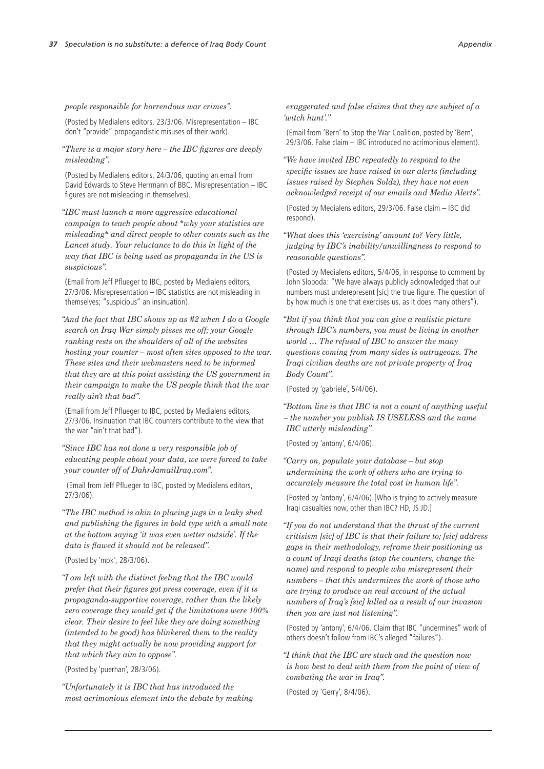#### *people responsible for horrendous war crimes".*

(Posted by Medialens editors, 23/3/06. Misrepresentation – IBC don't "provide" propagandistic misuses of their work).

*"There is a major story here – the IBC figures are deeply misleading".*

(Posted by Medialens editors, 24/3/06, quoting an email from David Edwards to Steve Herrmann of BBC. Misrepresentation – IBC figures are not misleading in themselves).

*"IBC must launch a more aggressive educational campaign to teach people about \*why your statistics are misleading\* and direct people to other counts such as the Lancet study. Your reluctance to do this in light of the way that IBC is being used as propaganda in the US is suspicious".* 

(Email from Jeff Pflueger to IBC, posted by Medialens editors, 27/3/06. Misrepresentation – IBC statistics are not misleading in themselves; "suspicious" an insinuation).

*"And the fact that IBC shows up as #2 when I do a Google search on Iraq War simply pisses me off; your Google ranking rests on the shoulders of all of the websites hosting your counter – most often sites opposed to the war. These sites and their webmasters need to be informed that they are at this point assisting the US government in their campaign to make the US people think that the war really ain't that bad".* 

(Email from Jeff Pflueger to IBC, posted by Medialens editors, 27/3/06. Insinuation that IBC counters contribute to the view that the war "ain't that bad").

*"Since IBC has not done a very responsible job of educating people about your data, we were forced to take your counter off of DahrJamailIraq.com".*

 (Email from Jeff Pflueger to IBC, posted by Medialens editors, 27/3/06).

*"The IBC method is akin to placing jugs in a leaky shed and publishing the figures in bold type with a small note at the bottom saying 'it was even wetter outside'. If the data is flawed it should not be released".*

(Posted by 'mpk', 28/3/06).

*"I am left with the distinct feeling that the IBC would prefer that their figures got press coverage, even if it is propaganda-supportive coverage, rather than the likely zero coverage they would get if the limitations were 100% clear. Their desire to feel like they are doing something (intended to be good) has blinkered them to the reality that they might actually be now providing support for that which they aim to oppose".* 

(Posted by 'puerhan', 28/3/06).

*"Unfortunately it is IBC that has introduced the most acrimonious element into the debate by making* 

*exaggerated and false claims that they are subject of a 'witch hunt'."* 

(Email from 'Bern' to Stop the War Coalition, posted by 'Bern', 29/3/06. False claim – IBC introduced no acrimonious element).

*"We have invited IBC repeatedly to respond to the specific issues we have raised in our alerts (including issues raised by Stephen Soldz), they have not even acknowledged receipt of our emails and Media Alerts".* 

(Posted by Medialens editors, 29/3/06. False claim – IBC did respond).

*"What does this 'exercising' amount to? Very little, judging by IBC's inability/unwillingness to respond to reasonable questions".*

(Posted by Medialens editors, 5/4/06, in response to comment by John Sloboda: "We have always publicly acknowledged that our numbers must underepresent [sic] the true figure. The question of by how much is one that exercises us, as it does many others").

*"But if you think that you can give a realistic picture through IBC's numbers, you must be living in another world … The refusal of IBC to answer the many questions coming from many sides is outrageous. The Iraqi civilian deaths are not private property of Iraq Body Count".* 

(Posted by 'gabriele', 5/4/06).

*"Bottom line is that IBC is not a count of anything useful – the number you publish IS USELESS and the name IBC utterly misleading".* 

(Posted by 'antony', 6/4/06).

*"Carry on, populate your database – but stop undermining the work of others who are trying to accurately measure the total cost in human life".* 

(Posted by 'antony', 6/4/06).[Who is trying to actively measure Iraqi casualties now, other than IBC? HD, JS JD.]

*"If you do not understand that the thrust of the current critisism [sic] of IBC is that their failure to; [sic] address gaps in their methodology, reframe their positioning as a count of Iraqi deaths (stop the counters, change the name) and respond to people who misrepresent their numbers – that this undermines the work of those who are trying to produce an real account of the actual numbers of Iraq's [sic] killed as a result of our invasion then you are just not listening".* 

(Posted by 'antony', 6/4/06. Claim that IBC "undermines" work of others doesn't follow from IBC's alleged "failures").

*"I think that the IBC are stuck and the question now is how best to deal with them from the point of view of combating the war in Iraq".* 

(Posted by 'Gerry', 8/4/06).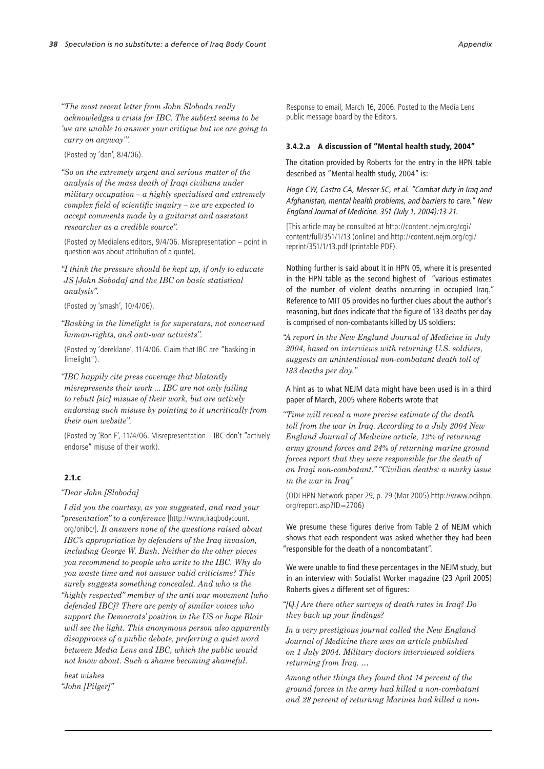*"The most recent letter from John Sloboda really acknowledges a crisis for IBC. The subtext seems to be 'we are unable to answer your critique but we are going to carry on anyway'".* 

(Posted by 'dan', 8/4/06).

*"So on the extremely urgent and serious matter of the analysis of the mass death of Iraqi civilians under military occupation – a highly specialised and extremely complex field of scientific inquiry – we are expected to accept comments made by a guitarist and assistant researcher as a credible source".* 

(Posted by Medialens editors, 9/4/06. Misrepresentation – point in question was about attribution of a quote).

*"I think the pressure should be kept up, if only to educate JS [John Soboda] and the IBC on basic statistical analysis".* 

(Posted by 'smash', 10/4/06).

*"Basking in the limelight is for superstars, not concerned human-rights, and anti-war activists".* 

(Posted by 'dereklane', 11/4/06. Claim that IBC are "basking in limelight").

*"IBC happily cite press coverage that blatantly misrepresents their work ... IBC are not only failing to rebutt [sic] misuse of their work, but are actively endorsing such misuse by pointing to it uncritically from their own website".* 

(Posted by 'Ron F', 11/4/06. Misrepresentation – IBC don't "actively endorse" misuse of their work).

### $2.1c$

#### *"Dear John [Sloboda]*

*I did you the courtesy, as you suggested, and read your "presentation" to a conference* [http://www,iraqbodycount. org/onibc/]*. It answers none of the questions raised about IBC's appropriation by defenders of the Iraq invasion, including George W. Bush. Neither do the other pieces you recommend to people who write to the IBC. Why do you waste time and not answer valid criticisms? This surely suggests something concealed. And who is the "highly respected" member of the anti war movement [who defended IBC]? There are penty of similar voices who support the Democrats' position in the US or hope Blair will see the light. This anonymous person also apparently disapproves of a public debate, preferring a quiet word between Media Lens and IBC, which the public would not know about. Such a shame becoming shameful.* 

*best wishes "John [Pilger]"*

Response to email, March 16, 2006. Posted to the Media Lens public message board by the Editors.

#### 3.4.2.a A discussion of "Mental health study, 2004"

The citation provided by Roberts for the entry in the HPN table described as "Mental health study, 2004" is:

Hoge CW, Castro CA, Messer SC, et al. "Combat duty in Iraq and Afghanistan, mental health problems, and barriers to care." New England Journal of Medicine. 351 (July 1, 2004):13-21.

[This article may be consulted at http://content.nejm.org/cgi/ content/full/351/1/13 (online) and http://content.nejm.org/cgi/ reprint/351/1/13.pdf (printable PDF).

Nothing further is said about it in HPN 05, where it is presented in the HPN table as the second highest of "various estimates of the number of violent deaths occurring in occupied Iraq." Reference to MIT 05 provides no further clues about the author's reasoning, but does indicate that the figure of 133 deaths per day is comprised of non-combatants killed by US soldiers:

*"A report in the New England Journal of Medicine in July 2004, based on interviews with returning U.S. soldiers, suggests an unintentional non-combatant death toll of 133 deaths per day."*

#### A hint as to what NEJM data might have been used is in a third paper of March, 2005 where Roberts wrote that

*"Time will reveal a more precise estimate of the death toll from the war in Iraq. According to a July 2004 New England Journal of Medicine article, 12% of returning army ground forces and 24% of returning marine ground forces report that they were responsible for the death of an Iraqi non-combatant." "Civilian deaths: a murky issue in the war in Iraq"* 

(ODI HPN Network paper 29, p. 29 (Mar 2005) http://www.odihpn. org/report.asp?ID=2706)

We presume these figures derive from Table 2 of NEJM which shows that each respondent was asked whether they had been "responsible for the death of a noncombatant".

We were unable to find these percentages in the NEJM study, but in an interview with Socialist Worker magazine (23 April 2005) Roberts gives a different set of figures:

*"[Q.] Are there other surveys of death rates in Iraq? Do they back up your findings?*

*In a very prestigious journal called the New England Journal of Medicine there was an article published on 1 July 2004. Military doctors interviewed soldiers returning from Iraq. …*

*Among other things they found that 14 percent of the ground forces in the army had killed a non-combatant and 28 percent of returning Marines had killed a non-*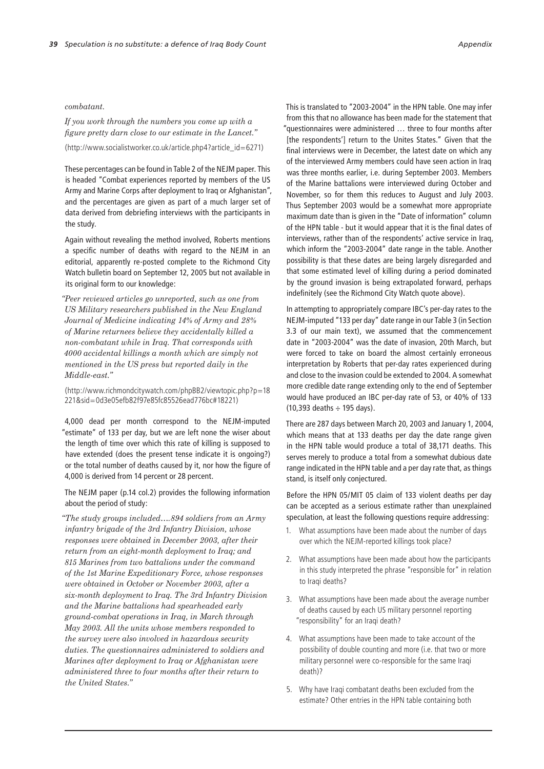#### *combatant.*

*If you work through the numbers you come up with a figure pretty darn close to our estimate in the Lancet."*

(http://www.socialistworker.co.uk/article.php4?article\_id=6271)

These percentages can be found in Table 2 of the NEJM paper. This is headed "Combat experiences reported by members of the US Army and Marine Corps after deployment to Iraq or Afghanistan", and the percentages are given as part of a much larger set of data derived from debriefing interviews with the participants in the study.

Again without revealing the method involved, Roberts mentions a specific number of deaths with regard to the NEJM in an editorial, apparently re-posted complete to the Richmond City Watch bulletin board on September 12, 2005 but not available in its original form to our knowledge:

*"Peer reviewed articles go unreported, such as one from US Military researchers published in the New England Journal of Medicine indicating 14% of Army and 28% of Marine returnees believe they accidentally killed a non-combatant while in Iraq. That corresponds with 4000 accidental killings a month which are simply not mentioned in the US press but reported daily in the Middle-east."*

(http://www.richmondcitywatch.com/phpBB2/viewtopic.php?p=18 221&sid=0d3e05efb82f97e85fc85526ead776bc#18221)

4,000 dead per month correspond to the NEJM-imputed "estimate" of 133 per day, but we are left none the wiser about the length of time over which this rate of killing is supposed to have extended (does the present tense indicate it is ongoing?) or the total number of deaths caused by it, nor how the figure of 4,000 is derived from 14 percent or 28 percent.

The NEJM paper (p.14 col.2) provides the following information about the period of study:

*"The study groups included….894 soldiers from an Army infantry brigade of the 3rd Infantry Division, whose responses were obtained in December 2003, after their return from an eight-month deployment to Iraq; and 815 Marines from two battalions under the command of the 1st Marine Expeditionary Force, whose responses were obtained in October or November 2003, after a six-month deployment to Iraq. The 3rd Infantry Division and the Marine battalions had spearheaded early ground-combat operations in Iraq, in March through May 2003. All the units whose members responded to the survey were also involved in hazardous security duties. The questionnaires administered to soldiers and Marines after deployment to Iraq or Afghanistan were administered three to four months after their return to the United States."*

This is translated to "2003-2004" in the HPN table. One may infer from this that no allowance has been made for the statement that "questionnaires were administered … three to four months after [the respondents'] return to the Unites States." Given that the final interviews were in December, the latest date on which any of the interviewed Army members could have seen action in Iraq was three months earlier, i.e. during September 2003. Members of the Marine battalions were interviewed during October and November, so for them this reduces to August and July 2003. Thus September 2003 would be a somewhat more appropriate maximum date than is given in the "Date of information" column of the HPN table - but it would appear that it is the final dates of interviews, rather than of the respondents' active service in Iraq, which inform the "2003-2004" date range in the table. Another possibility is that these dates are being largely disregarded and that some estimated level of killing during a period dominated by the ground invasion is being extrapolated forward, perhaps indefinitely (see the Richmond City Watch quote above).

In attempting to appropriately compare IBC's per-day rates to the NEJM-imputed "133 per day" date range in our Table 3 (in Section 3.3 of our main text), we assumed that the commencement date in "2003-2004" was the date of invasion, 20th March, but were forced to take on board the almost certainly erroneous interpretation by Roberts that per-day rates experienced during and close to the invasion could be extended to 2004. A somewhat more credible date range extending only to the end of September would have produced an IBC per-day rate of 53, or 40% of 133  $(10,393$  deaths  $\div$  195 days).

There are 287 days between March 20, 2003 and January 1, 2004, which means that at 133 deaths per day the date range given in the HPN table would produce a total of 38,171 deaths. This serves merely to produce a total from a somewhat dubious date range indicated in the HPN table and a per day rate that, as things stand, is itself only conjectured.

Before the HPN 05/MIT 05 claim of 133 violent deaths per day can be accepted as a serious estimate rather than unexplained speculation, at least the following questions require addressing:

- 1. What assumptions have been made about the number of days over which the NEJM-reported killings took place?
- 2. What assumptions have been made about how the participants in this study interpreted the phrase "responsible for" in relation to Iraqi deaths?
- 3. What assumptions have been made about the average number of deaths caused by each US military personnel reporting "responsibility" for an Iraqi death?
- 4. What assumptions have been made to take account of the possibility of double counting and more (i.e. that two or more military personnel were co-responsible for the same Iraqi death)?
- 5. Why have Iraqi combatant deaths been excluded from the estimate? Other entries in the HPN table containing both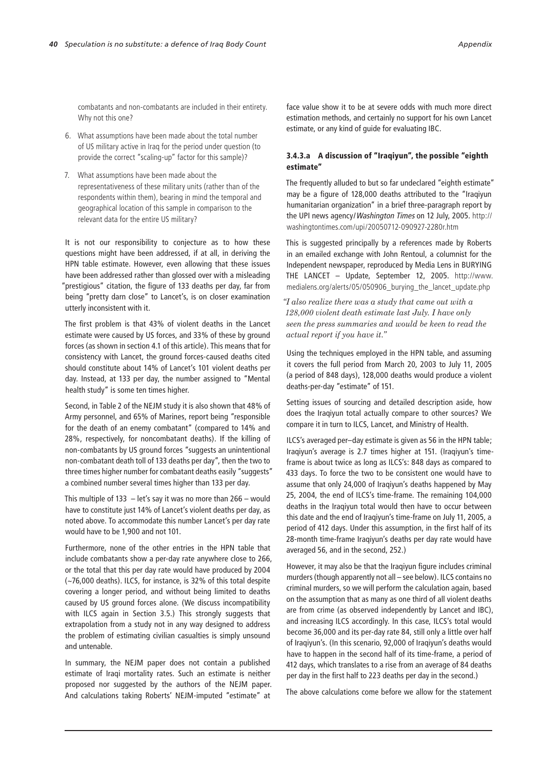combatants and non-combatants are included in their entirety. Why not this one?

- 6. What assumptions have been made about the total number of US military active in Iraq for the period under question (to provide the correct "scaling-up" factor for this sample)?
- 7. What assumptions have been made about the representativeness of these military units (rather than of the respondents within them), bearing in mind the temporal and geographical location of this sample in comparison to the relevant data for the entire US military?

It is not our responsibility to conjecture as to how these questions might have been addressed, if at all, in deriving the HPN table estimate. However, even allowing that these issues have been addressed rather than glossed over with a misleading "prestigious" citation, the figure of 133 deaths per day, far from being "pretty darn close" to Lancet's, is on closer examination utterly inconsistent with it.

The first problem is that 43% of violent deaths in the Lancet estimate were caused by US forces, and 33% of these by ground forces (as shown in section 4.1 of this article). This means that for consistency with Lancet, the ground forces-caused deaths cited should constitute about 14% of Lancet's 101 violent deaths per day. Instead, at 133 per day, the number assigned to "Mental health study" is some ten times higher.

Second, in Table 2 of the NEJM study it is also shown that 48% of Army personnel, and 65% of Marines, report being "responsible for the death of an enemy combatant" (compared to 14% and 28%, respectively, for noncombatant deaths). If the killing of non-combatants by US ground forces "suggests an unintentional non-combatant death toll of 133 deaths per day", then the two to three times higher number for combatant deaths easily "suggests" a combined number several times higher than 133 per day.

This multiple of 133 – let's say it was no more than 266 – would have to constitute just 14% of Lancet's violent deaths per day, as noted above. To accommodate this number Lancet's per day rate would have to be 1,900 and not 101.

Furthermore, none of the other entries in the HPN table that include combatants show a per-day rate anywhere close to 266, or the total that this per day rate would have produced by 2004 (~76,000 deaths). ILCS, for instance, is 32% of this total despite covering a longer period, and without being limited to deaths caused by US ground forces alone. (We discuss incompatibility with ILCS again in Section 3.5.) This strongly suggests that extrapolation from a study not in any way designed to address the problem of estimating civilian casualties is simply unsound and untenable.

In summary, the NEJM paper does not contain a published estimate of Iraqi mortality rates. Such an estimate is neither proposed nor suggested by the authors of the NEJM paper. And calculations taking Roberts' NEJM-imputed "estimate" at face value show it to be at severe odds with much more direct estimation methods, and certainly no support for his own Lancet estimate, or any kind of guide for evaluating IBC.

### 3.4.3.a A discussion of "Iraqiyun", the possible "eighth estimate"

The frequently alluded to but so far undeclared "eighth estimate" may be a figure of 128,000 deaths attributed to the "Iraqiyun humanitarian organization" in a brief three-paragraph report by the UPI news agency/Washington Times on 12 July, 2005. http:// washingtontimes.com/upi/20050712-090927-2280r.htm

This is suggested principally by a references made by Roberts in an emailed exchange with John Rentoul, a columnist for the Independent newspaper, reproduced by Media Lens in BURYING THE LANCET – Update, September 12, 2005. http://www. medialens.org/alerts/05/050906\_burying\_the\_lancet\_update.php

*"I also realize there was a study that came out with a 128,000 violent death estimate last July. I have only seen the press summaries and would be keen to read the actual report if you have it."*

Using the techniques employed in the HPN table, and assuming it covers the full period from March 20, 2003 to July 11, 2005 (a period of 848 days), 128,000 deaths would produce a violent deaths-per-day "estimate" of 151.

Setting issues of sourcing and detailed description aside, how does the Iraqiyun total actually compare to other sources? We compare it in turn to ILCS, Lancet, and Ministry of Health.

ILCS's averaged per–day estimate is given as 56 in the HPN table; Iraqiyun's average is 2.7 times higher at 151. (Iraqiyun's timeframe is about twice as long as ILCS's: 848 days as compared to 433 days. To force the two to be consistent one would have to assume that only 24,000 of Iraqiyun's deaths happened by May 25, 2004, the end of ILCS's time-frame. The remaining 104,000 deaths in the Iraqiyun total would then have to occur between this date and the end of Iraqiyun's time-frame on July 11, 2005, a period of 412 days. Under this assumption, in the first half of its 28-month time-frame Iraqiyun's deaths per day rate would have averaged 56, and in the second, 252.)

However, it may also be that the Iraqiyun figure includes criminal murders (though apparently not all – see below). ILCS contains no criminal murders, so we will perform the calculation again, based on the assumption that as many as one third of all violent deaths are from crime (as observed independently by Lancet and IBC), and increasing ILCS accordingly. In this case, ILCS's total would become 36,000 and its per-day rate 84, still only a little over half of Iraqiyun's. (In this scenario, 92,000 of Iraqiyun's deaths would have to happen in the second half of its time-frame, a period of 412 days, which translates to a rise from an average of 84 deaths per day in the first half to 223 deaths per day in the second.)

The above calculations come before we allow for the statement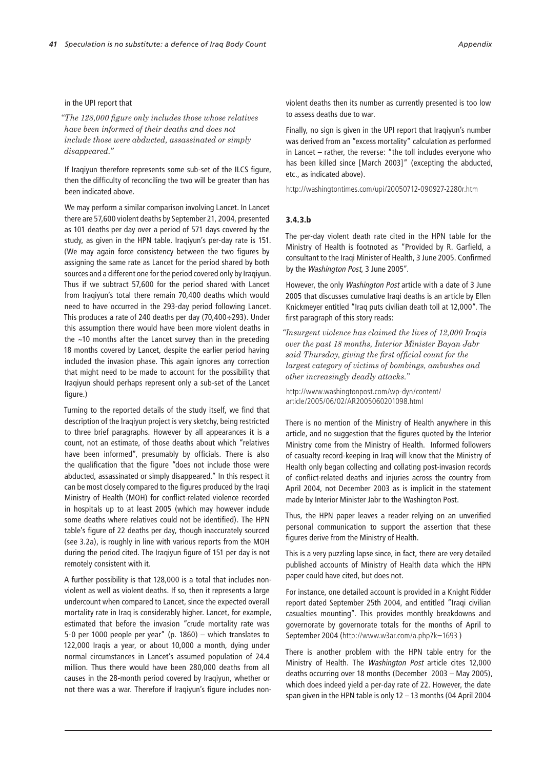#### in the UPI report that

*"The 128,000 figure only includes those whose relatives have been informed of their deaths and does not include those were abducted, assassinated or simply disappeared."*

If Iraqiyun therefore represents some sub-set of the ILCS figure, then the difficulty of reconciling the two will be greater than has been indicated above.

We may perform a similar comparison involving Lancet. In Lancet there are 57,600 violent deaths by September 21, 2004, presented as 101 deaths per day over a period of 571 days covered by the study, as given in the HPN table. Iraqiyun's per-day rate is 151. (We may again force consistency between the two figures by assigning the same rate as Lancet for the period shared by both sources and a different one for the period covered only by Iraqiyun. Thus if we subtract 57,600 for the period shared with Lancet from Iraqiyun's total there remain 70,400 deaths which would need to have occurred in the 293-day period following Lancet. This produces a rate of 240 deaths per day (70,400÷293). Under this assumption there would have been more violent deaths in the ~10 months after the Lancet survey than in the preceding 18 months covered by Lancet, despite the earlier period having included the invasion phase. This again ignores any correction that might need to be made to account for the possibility that Iraqiyun should perhaps represent only a sub-set of the Lancet figure.)

Turning to the reported details of the study itself, we find that description of the Iraqiyun project is very sketchy, being restricted to three brief paragraphs. However by all appearances it is a count, not an estimate, of those deaths about which "relatives have been informed", presumably by officials. There is also the qualification that the figure "does not include those were abducted, assassinated or simply disappeared." In this respect it can be most closely compared to the figures produced by the Iraqi Ministry of Health (MOH) for conflict-related violence recorded in hospitals up to at least 2005 (which may however include some deaths where relatives could not be identified). The HPN table's figure of 22 deaths per day, though inaccurately sourced (see 3.2a), is roughly in line with various reports from the MOH during the period cited. The Iraqiyun figure of 151 per day is not remotely consistent with it.

A further possibility is that 128,000 is a total that includes nonviolent as well as violent deaths. If so, then it represents a large undercount when compared to Lancet, since the expected overall mortality rate in Iraq is considerably higher. Lancet, for example, estimated that before the invasion "crude mortality rate was 5·0 per 1000 people per year" (p. 1860) – which translates to 122,000 Iraqis a year, or about 10,000 a month, dying under normal circumstances in Lancet's assumed population of 24.4 million. Thus there would have been 280,000 deaths from all causes in the 28-month period covered by Iraqiyun, whether or not there was a war. Therefore if Iraqiyun's figure includes nonviolent deaths then its number as currently presented is too low to assess deaths due to war.

Finally, no sign is given in the UPI report that Iraqiyun's number was derived from an "excess mortality" calculation as performed in Lancet – rather, the reverse: "the toll includes everyone who has been killed since [March 2003]" (excepting the abducted, etc., as indicated above).

http://washingtontimes.com/upi/20050712-090927-2280r.htm

#### 3.4.3.b

The per-day violent death rate cited in the HPN table for the Ministry of Health is footnoted as "Provided by R. Garfield, a consultant to the Iraqi Minister of Health, 3 June 2005. Confirmed by the Washington Post, 3 June 2005".

However, the only Washington Post article with a date of 3 June 2005 that discusses cumulative Iraqi deaths is an article by Ellen Knickmeyer entitled "Iraq puts civilian death toll at 12,000". The first paragraph of this story reads:

*"Insurgent violence has claimed the lives of 12,000 Iraqis over the past 18 months, Interior Minister Bayan Jabr said Thursday, giving the first official count for the largest category of victims of bombings, ambushes and other increasingly deadly attacks."* 

http://www.washingtonpost.com/wp-dyn/content/ article/2005/06/02/AR2005060201098.html

There is no mention of the Ministry of Health anywhere in this article, and no suggestion that the figures quoted by the Interior Ministry come from the Ministry of Health. Informed followers of casualty record-keeping in Iraq will know that the Ministry of Health only began collecting and collating post-invasion records of conflict-related deaths and injuries across the country from April 2004, not December 2003 as is implicit in the statement made by Interior Minister Jabr to the Washington Post.

Thus, the HPN paper leaves a reader relying on an unverified personal communication to support the assertion that these figures derive from the Ministry of Health.

This is a very puzzling lapse since, in fact, there are very detailed published accounts of Ministry of Health data which the HPN paper could have cited, but does not.

For instance, one detailed account is provided in a Knight Ridder report dated September 25th 2004, and entitled "Iraqi civilian casualties mounting". This provides monthly breakdowns and governorate by governorate totals for the months of April to September 2004 (http://www.w3ar.com/a.php?k=1693 )

There is another problem with the HPN table entry for the Ministry of Health. The Washington Post article cites 12,000 deaths occurring over 18 months (December 2003 – May 2005), which does indeed yield a per-day rate of 22. However, the date span given in the HPN table is only 12 – 13 months (04 April 2004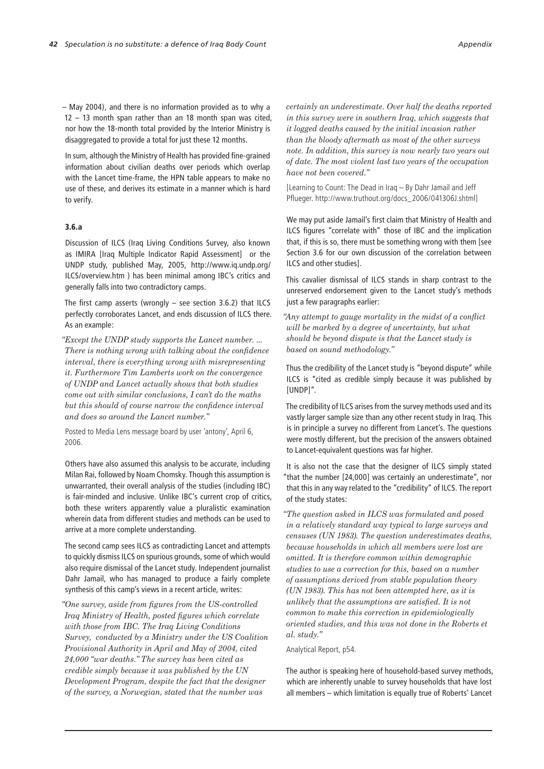– May 2004), and there is no information provided as to why a 12 – 13 month span rather than an 18 month span was cited, nor how the 18-month total provided by the Interior Ministry is disaggregated to provide a total for just these 12 months.

In sum, although the Ministry of Health has provided fine-grained information about civilian deaths over periods which overlap with the Lancet time-frame, the HPN table appears to make no use of these, and derives its estimate in a manner which is hard to verify.

#### 3.6.a

Discussion of ILCS (Iraq Living Conditions Survey, also known as IMIRA [Iraq Multiple Indicator Rapid Assessment] or the UNDP study, published May, 2005, http://www.iq.undp.org/ ILCS/overview.htm ) has been minimal among IBC's critics and generally falls into two contradictory camps.

The first camp asserts (wrongly – see section 3.6.2) that ILCS perfectly corroborates Lancet, and ends discussion of ILCS there. As an example:

*"Except the UNDP study supports the Lancet number. ... There is nothing wrong with talking about the confidence interval, there is everything wrong with misrepresenting it. Furthermore Tim Lamberts work on the convergence of UNDP and Lancet actually shows that both studies come out with similar conclusions, I can't do the maths but this should of course narrow the confidence interval and does so around the Lancet number."* 

Posted to Media Lens message board by user 'antony', April 6, 2006.

Others have also assumed this analysis to be accurate, including Milan Rai, followed by Noam Chomsky. Though this assumption is unwarranted, their overall analysis of the studies (including IBC) is fair-minded and inclusive. Unlike IBC's current crop of critics, both these writers apparently value a pluralistic examination wherein data from different studies and methods can be used to arrive at a more complete understanding.

The second camp sees ILCS as contradicting Lancet and attempts to quickly dismiss ILCS on spurious grounds, some of which would also require dismissal of the Lancet study. Independent journalist Dahr Jamail, who has managed to produce a fairly complete synthesis of this camp's views in a recent article, writes:

*"One survey, aside from figures from the US-controlled Iraq Ministry of Health, posted figures which correlate with those from IBC. The Iraq Living Conditions Survey, conducted by a Ministry under the US Coalition Provisional Authority in April and May of 2004, cited 24,000 "war deaths." The survey has been cited as credible simply because it was published by the UN Development Program, despite the fact that the designer of the survey, a Norwegian, stated that the number was* 

*certainly an underestimate. Over half the deaths reported in this survey were in southern Iraq, which suggests that it logged deaths caused by the initial invasion rather than the bloody aftermath as most of the other surveys note. In addition, this survey is now nearly two years out of date. The most violent last two years of the occupation have not been covered."*

[Learning to Count: The Dead in Iraq – By Dahr Jamail and Jeff Pflueger. http://www.truthout.org/docs\_2006/041306J.shtml]

We may put aside Jamail's first claim that Ministry of Health and ILCS figures "correlate with" those of IBC and the implication that, if this is so, there must be something wrong with them [see Section 3.6 for our own discussion of the correlation between ILCS and other studies].

This cavalier dismissal of ILCS stands in sharp contrast to the unreserved endorsement given to the Lancet study's methods just a few paragraphs earlier:

*"Any attempt to gauge mortality in the midst of a conflict will be marked by a degree of uncertainty, but what should be beyond dispute is that the Lancet study is based on sound methodology."* 

Thus the credibility of the Lancet study is "beyond dispute" while ILCS is "cited as credible simply because it was published by [UNDP]".

The credibility of ILCS arises from the survey methods used and its vastly larger sample size than any other recent study in Iraq. This is in principle a survey no different from Lancet's. The questions were mostly different, but the precision of the answers obtained to Lancet-equivalent questions was far higher.

It is also not the case that the designer of ILCS simply stated "that the number [24,000] was certainly an underestimate", nor that this in any way related to the "credibility" of ILCS. The report of the study states:

*"The question asked in ILCS was formulated and posed in a relatively standard way typical to large surveys and censuses (UN 1983). The question underestimates deaths, because households in which all members were lost are omitted. It is therefore common within demographic studies to use a correction for this, based on a number of assumptions derived from stable population theory (UN 1983). This has not been attempted here, as it is unlikely that the assumptions are satisfied. It is not common to make this correction in epidemiologically oriented studies, and this was not done in the Roberts et al. study."*

Analytical Report, p54.

The author is speaking here of household-based survey methods, which are inherently unable to survey households that have lost all members – which limitation is equally true of Roberts' Lancet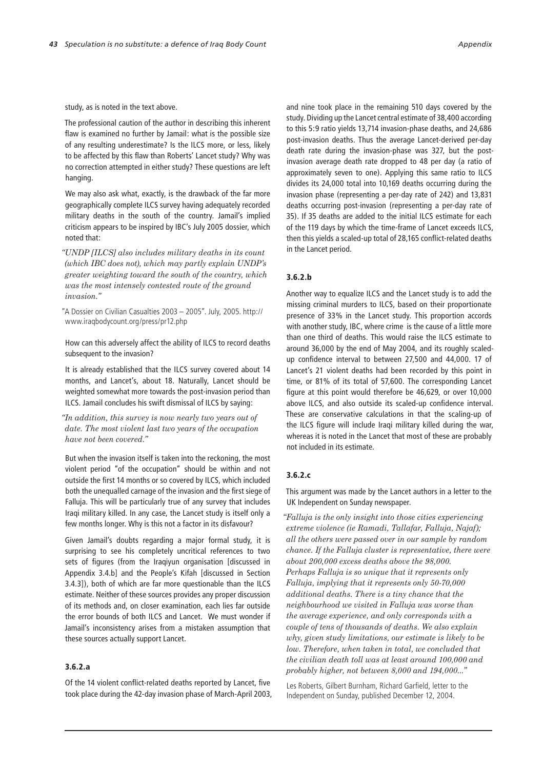study, as is noted in the text above.

The professional caution of the author in describing this inherent flaw is examined no further by Jamail: what is the possible size of any resulting underestimate? Is the ILCS more, or less, likely to be affected by this flaw than Roberts' Lancet study? Why was no correction attempted in either study? These questions are left hanging.

We may also ask what, exactly, is the drawback of the far more geographically complete ILCS survey having adequately recorded military deaths in the south of the country. Jamail's implied criticism appears to be inspired by IBC's July 2005 dossier, which noted that:

*"UNDP [ILCS] also includes military deaths in its count (which IBC does not), which may partly explain UNDP's greater weighting toward the south of the country, which was the most intensely contested route of the ground invasion."*

"A Dossier on Civilian Casualties 2003 – 2005". July, 2005. http:// www.iraqbodycount.org/press/pr12.php

How can this adversely affect the ability of ILCS to record deaths subsequent to the invasion?

It is already established that the ILCS survey covered about 14 months, and Lancet's, about 18. Naturally, Lancet should be weighted somewhat more towards the post-invasion period than ILCS. Jamail concludes his swift dismissal of ILCS by saying:

*"In addition, this survey is now nearly two years out of date. The most violent last two years of the occupation have not been covered."* 

But when the invasion itself is taken into the reckoning, the most violent period "of the occupation" should be within and not outside the first 14 months or so covered by ILCS, which included both the unequalled carnage of the invasion and the first siege of Falluja. This will be particularly true of any survey that includes Iraqi military killed. In any case, the Lancet study is itself only a few months longer. Why is this not a factor in its disfavour?

Given Jamail's doubts regarding a major formal study, it is surprising to see his completely uncritical references to two sets of figures (from the Iraqiyun organisation [discussed in Appendix 3.4.b] and the People's Kifah [discussed in Section 3.4.3]), both of which are far more questionable than the ILCS estimate. Neither of these sources provides any proper discussion of its methods and, on closer examination, each lies far outside the error bounds of both ILCS and Lancet. We must wonder if Jamail's inconsistency arises from a mistaken assumption that these sources actually support Lancet.

### 3.6.2.a

Of the 14 violent conflict-related deaths reported by Lancet, five took place during the 42-day invasion phase of March-April 2003, and nine took place in the remaining 510 days covered by the study. Dividing up the Lancet central estimate of 38,400 according to this 5:9 ratio yields 13,714 invasion-phase deaths, and 24,686 post-invasion deaths. Thus the average Lancet-derived per-day death rate during the invasion-phase was 327, but the postinvasion average death rate dropped to 48 per day (a ratio of approximately seven to one). Applying this same ratio to ILCS divides its 24,000 total into 10,169 deaths occurring during the invasion phase (representing a per-day rate of 242) and 13,831 deaths occurring post-invasion (representing a per-day rate of 35). If 35 deaths are added to the initial ILCS estimate for each of the 119 days by which the time-frame of Lancet exceeds ILCS, then this yields a scaled-up total of 28,165 conflict-related deaths in the Lancet period.

#### 3.6.2.b

Another way to equalize ILCS and the Lancet study is to add the missing criminal murders to ILCS, based on their proportionate presence of 33% in the Lancet study. This proportion accords with another study, IBC, where crime is the cause of a little more than one third of deaths. This would raise the ILCS estimate to around 36,000 by the end of May 2004, and its roughly scaledup confidence interval to between 27,500 and 44,000. 17 of Lancet's 21 violent deaths had been recorded by this point in time, or 81% of its total of 57,600. The corresponding Lancet figure at this point would therefore be 46,629, or over 10,000 above ILCS, and also outside its scaled-up confidence interval. These are conservative calculations in that the scaling-up of the ILCS figure will include Iraqi military killed during the war, whereas it is noted in the Lancet that most of these are probably not included in its estimate.

#### 3.6.2.c

This argument was made by the Lancet authors in a letter to the UK Independent on Sunday newspaper.

*"Falluja is the only insight into those cities experiencing extreme violence (ie Ramadi, Tallafar, Falluja, Najaf); all the others were passed over in our sample by random chance. If the Falluja cluster is representative, there were about 200,000 excess deaths above the 98,000. Perhaps Falluja is so unique that it represents only Falluja, implying that it represents only 50-70,000 additional deaths. There is a tiny chance that the neighbourhood we visited in Falluja was worse than the average experience, and only corresponds with a couple of tens of thousands of deaths. We also explain why, given study limitations, our estimate is likely to be low. Therefore, when taken in total, we concluded that the civilian death toll was at least around 100,000 and probably higher, not between 8,000 and 194,000..."* 

Les Roberts, Gilbert Burnham, Richard Garfield, letter to the Independent on Sunday, published December 12, 2004.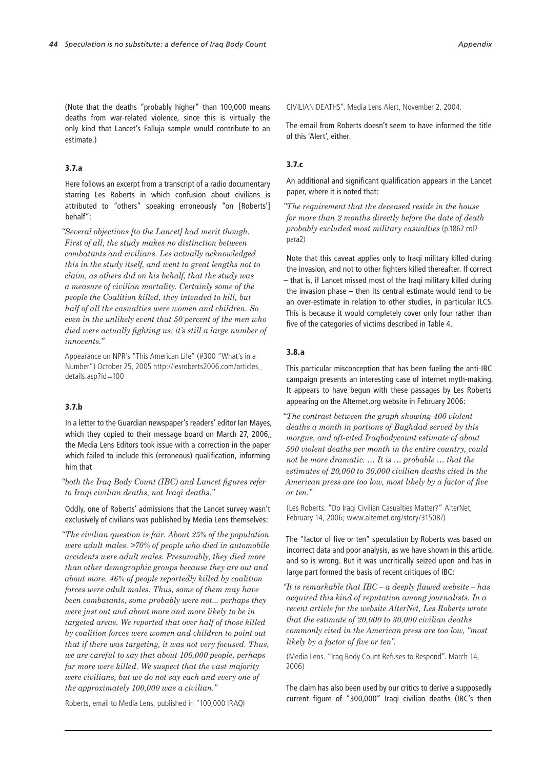(Note that the deaths "probably higher" than 100,000 means deaths from war-related violence, since this is virtually the only kind that Lancet's Falluja sample would contribute to an estimate.)

## 3.7.a

Here follows an excerpt from a transcript of a radio documentary starring Les Roberts in which confusion about civilians is attributed to "others" speaking erroneously "on [Roberts'] behalf":

*"Several objections [to the Lancet] had merit though. First of all, the study makes no distinction between combatants and civilians. Les actually acknowledged this in the study itself, and went to great lengths not to claim, as others did on his behalf, that the study was a measure of civilian mortality. Certainly some of the people the Coalition killed, they intended to kill, but half of all the casualties were women and children. So even in the unlikely event that 50 percent of the men who died were actually fighting us, it's still a large number of innocents."*

Appearance on NPR's "This American Life" (#300 "What's in a Number") October 25, 2005 http://lesroberts2006.com/articles\_ details.asp?id=100

#### 3.7.b

In a letter to the Guardian newspaper's readers' editor Ian Mayes, which they copied to their message board on March 27, 2006, the Media Lens Editors took issue with a correction in the paper which failed to include this (erroneous) qualification, informing him that

*"both the Iraq Body Count (IBC) and Lancet figures refer to Iraqi civilian deaths, not Iraqi deaths."*

Oddly, one of Roberts' admissions that the Lancet survey wasn't exclusively of civilians was published by Media Lens themselves:

*"The civilian question is fair. About 25% of the population were adult males. >70% of people who died in automobile accidents were adult males. Presumably, they died more than other demographic groups because they are out and about more. 46% of people reportedly killed by coalition forces were adult males. Thus, some of them may have been combatants, some probably were not... perhaps they were just out and about more and more likely to be in targeted areas. We reported that over half of those killed by coalition forces were women and children to point out that if there was targeting, it was not very focused. Thus, we are careful to say that about 100,000 people, perhaps far more were killed. We suspect that the vast majority were civilians, but we do not say each and every one of the approximately 100,000 was a civilian."*

Roberts, email to Media Lens, published in "100,000 IRAQI

CIVILIAN DEATHS". Media Lens Alert, November 2, 2004.

The email from Roberts doesn't seem to have informed the title of this 'Alert', either.

### 3.7.c

An additional and significant qualification appears in the Lancet paper, where it is noted that:

*"The requirement that the deceased reside in the house for more than 2 months directly before the date of death probably excluded most military casualties* (p.1862 col2 para2)

Note that this caveat applies only to Iraqi military killed during the invasion, and not to other fighters killed thereafter. If correct – that is, if Lancet missed most of the Iraqi military killed during the invasion phase – then its central estimate would tend to be an over-estimate in relation to other studies, in particular ILCS. This is because it would completely cover only four rather than five of the categories of victims described in Table 4.

#### 3.8.a

This particular misconception that has been fueling the anti-IBC campaign presents an interesting case of internet myth-making. It appears to have begun with these passages by Les Roberts appearing on the Alternet.org website in February 2006:

*"The contrast between the graph showing 400 violent deaths a month in portions of Baghdad served by this morgue, and oft-cited Iraqbodycount estimate of about 500 violent deaths per month in the entire country, could not be more dramatic. … It is … probable … that the estimates of 20,000 to 30,000 civilian deaths cited in the American press are too low, most likely by a factor of five or ten."* 

(Les Roberts. "Do Iraqi Civilian Casualties Matter?" AlterNet, February 14, 2006; www.alternet.org/story/31508/)

The "factor of five or ten" speculation by Roberts was based on incorrect data and poor analysis, as we have shown in this article, and so is wrong. But it was uncritically seized upon and has in large part formed the basis of recent critiques of IBC:

*"It is remarkable that IBC – a deeply flawed website – has acquired this kind of reputation among journalists. In a recent article for the website AlterNet, Les Roberts wrote that the estimate of 20,000 to 30,000 civilian deaths commonly cited in the American press are too low, "most likely by a factor of five or ten".* 

(Media Lens. "Iraq Body Count Refuses to Respond". March 14, 2006)

The claim has also been used by our critics to derive a supposedly current figure of "300,000" Iraqi civilian deaths (IBC's then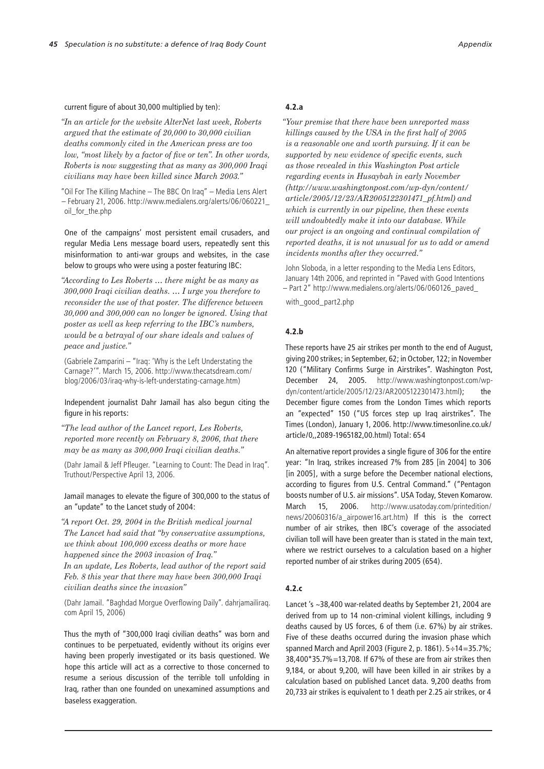#### current figure of about 30,000 multiplied by ten):

*"In an article for the website AlterNet last week, Roberts argued that the estimate of 20,000 to 30,000 civilian deaths commonly cited in the American press are too low, "most likely by a factor of five or ten". In other words, Roberts is now suggesting that as many as 300,000 Iraqi civilians may have been killed since March 2003."*

"Oil For The Killing Machine – The BBC On Iraq" – Media Lens Alert – February 21, 2006. http://www.medialens.org/alerts/06/060221\_ oil\_for\_the.php

One of the campaigns' most persistent email crusaders, and regular Media Lens message board users, repeatedly sent this misinformation to anti-war groups and websites, in the case below to groups who were using a poster featuring IBC:

*"According to Les Roberts … there might be as many as 300,000 Iraqi civilian deaths. … I urge you therefore to reconsider the use of that poster. The difference between 30,000 and 300,000 can no longer be ignored. Using that poster as well as keep referring to the IBC's numbers, would be a betrayal of our share ideals and values of peace and justice."* 

(Gabriele Zamparini – "Iraq: 'Why is the Left Understating the Carnage?'". March 15, 2006. http://www.thecatsdream.com/ blog/2006/03/iraq-why-is-left-understating-carnage.htm)

#### Independent journalist Dahr Jamail has also begun citing the figure in his reports:

*"The lead author of the Lancet report, Les Roberts, reported more recently on February 8, 2006, that there may be as many as 300,000 Iraqi civilian deaths."* 

(Dahr Jamail & Jeff Pfleuger. "Learning to Count: The Dead in Iraq". Truthout/Perspective April 13, 2006.

Jamail manages to elevate the figure of 300,000 to the status of an "update" to the Lancet study of 2004:

*"A report Oct. 29, 2004 in the British medical journal The Lancet had said that "by conservative assumptions, we think about 100,000 excess deaths or more have happened since the 2003 invasion of Iraq." In an update, Les Roberts, lead author of the report said Feb. 8 this year that there may have been 300,000 Iraqi civilian deaths since the invasion"*

(Dahr Jamail. "Baghdad Morgue Overflowing Daily". dahrjamailiraq. com April 15, 2006)

Thus the myth of "300,000 Iraqi civilian deaths" was born and continues to be perpetuated, evidently without its origins ever having been properly investigated or its basis questioned. We hope this article will act as a corrective to those concerned to resume a serious discussion of the terrible toll unfolding in Iraq, rather than one founded on unexamined assumptions and baseless exaggeration.

#### 4.2.a

*"Your premise that there have been unreported mass killings caused by the USA in the first half of 2005 is a reasonable one and worth pursuing. If it can be supported by new evidence of specific events, such as those revealed in this Washington Post article regarding events in Husaybah in early November (http://www.washingtonpost.com/wp-dyn/content/ article/2005/12/23/AR2005122301471\_pf.html) and which is currently in our pipeline, then these events will undoubtedly make it into our database. While our project is an ongoing and continual compilation of reported deaths, it is not unusual for us to add or amend incidents months after they occurred."* 

John Sloboda, in a letter responding to the Media Lens Editors, January 14th 2006, and reprinted in "Paved with Good Intentions – Part 2" http://www.medialens.org/alerts/06/060126\_paved\_

with\_good\_part2.php

#### 4.2.b

These reports have 25 air strikes per month to the end of August, giving 200 strikes; in September, 62; in October, 122; in November 120 ("Military Confirms Surge in Airstrikes". Washington Post, December 24, 2005. http://www.washingtonpost.com/wpdyn/content/article/2005/12/23/AR2005122301473.html); the December figure comes from the London Times which reports an "expected" 150 ("US forces step up Iraq airstrikes". The Times (London), January 1, 2006. http://www.timesonline.co.uk/ article/0,,2089-1965182,00.html) Total: 654

An alternative report provides a single figure of 306 for the entire year: "In Iraq, strikes increased 7% from 285 [in 2004] to 306 [in 2005], with a surge before the December national elections, according to figures from U.S. Central Command." ("Pentagon boosts number of U.S. air missions". USA Today, Steven Komarow. March 15, 2006. http://www.usatoday.com/printedition/ news/20060316/a\_airpower16.art.htm) If this is the correct number of air strikes, then IBC's coverage of the associated civilian toll will have been greater than is stated in the main text, where we restrict ourselves to a calculation based on a higher reported number of air strikes during 2005 (654).

#### 4.2.c

Lancet 's ~38,400 war-related deaths by September 21, 2004 are derived from up to 14 non-criminal violent killings, including 9 deaths caused by US forces, 6 of them (i.e. 67%) by air strikes. Five of these deaths occurred during the invasion phase which spanned March and April 2003 (Figure 2, p. 1861). 5÷14=35.7%; 38,400\*35.7%=13,708. If 67% of these are from air strikes then 9,184, or about 9,200, will have been killed in air strikes by a calculation based on published Lancet data. 9,200 deaths from 20,733 air strikes is equivalent to 1 death per 2.25 air strikes, or 4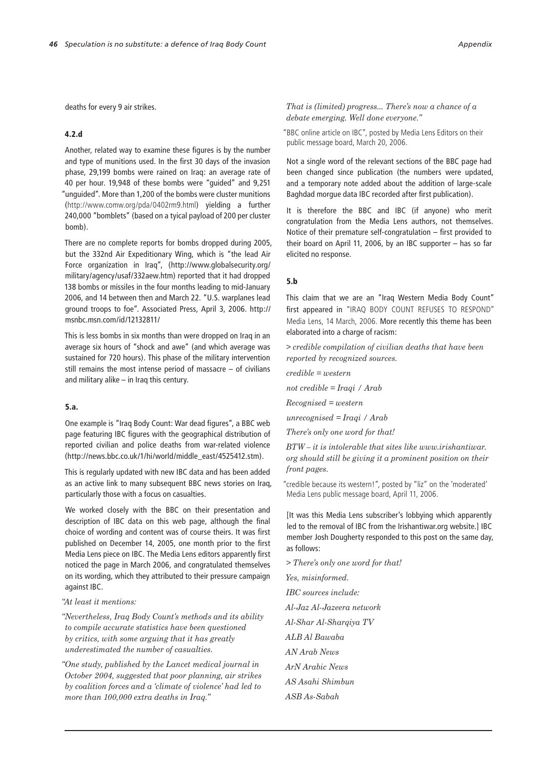deaths for every 9 air strikes.

### 4.2.d

Another, related way to examine these figures is by the number and type of munitions used. In the first 30 days of the invasion phase, 29,199 bombs were rained on Iraq: an average rate of 40 per hour. 19,948 of these bombs were "guided" and 9,251 "unguided". More than 1,200 of the bombs were cluster munitions (http://www.comw.org/pda/0402rm9.html) yielding a further 240,000 "bomblets" (based on a tyical payload of 200 per cluster bomb).

There are no complete reports for bombs dropped during 2005, but the 332nd Air Expeditionary Wing, which is "the lead Air Force organization in Iraq", (http://www.globalsecurity.org/ military/agency/usaf/332aew.htm) reported that it had dropped 138 bombs or missiles in the four months leading to mid-January 2006, and 14 between then and March 22. "U.S. warplanes lead ground troops to foe". Associated Press, April 3, 2006. http:// msnbc.msn.com/id/12132811/

This is less bombs in six months than were dropped on Iraq in an average six hours of "shock and awe" (and which average was sustained for 720 hours). This phase of the military intervention still remains the most intense period of massacre – of civilians and military alike – in Iraq this century.

### 5.a.

One example is "Iraq Body Count: War dead figures", a BBC web page featuring IBC figures with the geographical distribution of reported civilian and police deaths from war-related violence (http://news.bbc.co.uk/1/hi/world/middle\_east/4525412.stm).

This is regularly updated with new IBC data and has been added as an active link to many subsequent BBC news stories on Iraq, particularly those with a focus on casualties.

We worked closely with the BBC on their presentation and description of IBC data on this web page, although the final choice of wording and content was of course theirs. It was first published on December 14, 2005, one month prior to the first Media Lens piece on IBC. The Media Lens editors apparently first noticed the page in March 2006, and congratulated themselves on its wording, which they attributed to their pressure campaign against IBC.

#### *"At least it mentions:*

*"Nevertheless, Iraq Body Count's methods and its ability to compile accurate statistics have been questioned by critics, with some arguing that it has greatly underestimated the number of casualties.*

*"One study, published by the Lancet medical journal in October 2004, suggested that poor planning, air strikes by coalition forces and a 'climate of violence' had led to more than 100,000 extra deaths in Iraq."*

*That is (limited) progress... There's now a chance of a debate emerging. Well done everyone."*

"BBC online article on IBC", posted by Media Lens Editors on their public message board, March 20, 2006.

Not a single word of the relevant sections of the BBC page had been changed since publication (the numbers were updated, and a temporary note added about the addition of large-scale Baghdad morgue data IBC recorded after first publication).

It is therefore the BBC and IBC (if anyone) who merit congratulation from the Media Lens authors, not themselves. Notice of their premature self-congratulation – first provided to their board on April 11, 2006, by an IBC supporter – has so far elicited no response.

#### 5.b

This claim that we are an "Iraq Western Media Body Count" first appeared in "IRAQ BODY COUNT REFUSES TO RESPOND" Media Lens, 14 March, 2006. More recently this theme has been elaborated into a charge of racism:

*> credible compilation of civilian deaths that have been reported by recognized sources.*

*credible = western*

*not credible = Iraqi / Arab*

*Recognised = western*

*unrecognised = Iraqi / Arab*

*There's only one word for that!*

*BTW – it is intolerable that sites like www.irishantiwar. org should still be giving it a prominent position on their front pages.*

"credible because its western!", posted by "liz" on the 'moderated' Media Lens public message board, April 11, 2006.

[It was this Media Lens subscriber's lobbying which apparently led to the removal of IBC from the Irishantiwar.org website.] IBC member Josh Dougherty responded to this post on the same day, as follows:

*> There's only one word for that! Yes, misinformed. IBC sources include: Al-Jaz Al-Jazeera network Al-Shar Al-Sharqiya TV ALB Al Bawaba AN Arab News ArN Arabic News AS Asahi Shimbun ASB As-Sabah*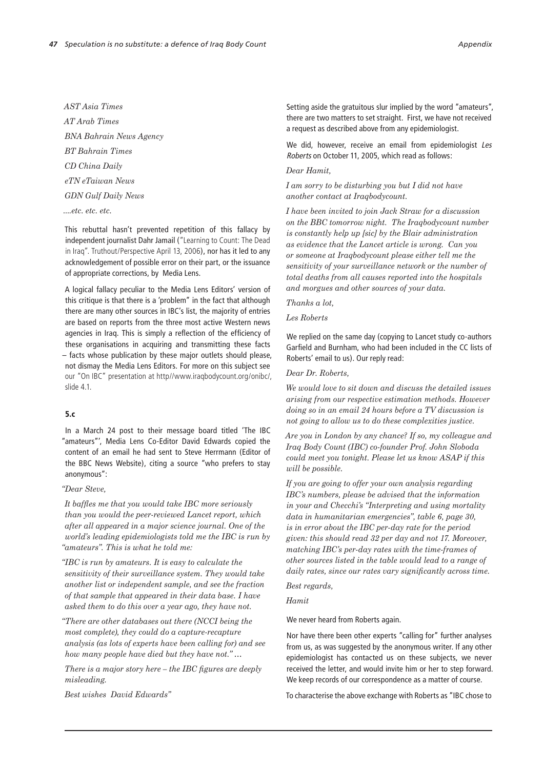*AST Asia Times AT Arab Times BNA Bahrain News Agency BT Bahrain Times CD China Daily eTN eTaiwan News GDN Gulf Daily News*

*....etc. etc. etc.*

This rebuttal hasn't prevented repetition of this fallacy by independent journalist Dahr Jamail ("Learning to Count: The Dead in Iraq". Truthout/Perspective April 13, 2006), nor has it led to any acknowledgement of possible error on their part, or the issuance of appropriate corrections, by Media Lens.

A logical fallacy peculiar to the Media Lens Editors' version of this critique is that there is a 'problem" in the fact that although there are many other sources in IBC's list, the majority of entries are based on reports from the three most active Western news agencies in Iraq. This is simply a reflection of the efficiency of these organisations in acquiring and transmitting these facts – facts whose publication by these major outlets should please, not dismay the Media Lens Editors. For more on this subject see our "On IBC" presentation at http//www.iraqbodycount.org/onibc/, slide 4.1.

## 5.c

In a March 24 post to their message board titled 'The IBC "amateurs"', Media Lens Co-Editor David Edwards copied the content of an email he had sent to Steve Herrmann (Editor of the BBC News Website), citing a source "who prefers to stay anonymous":

#### *"Dear Steve,*

*It baffles me that you would take IBC more seriously than you would the peer-reviewed Lancet report, which after all appeared in a major science journal. One of the world's leading epidemiologists told me the IBC is run by "amateurs". This is what he told me:* 

*"IBC is run by amateurs. It is easy to calculate the sensitivity of their surveillance system. They would take another list or independent sample, and see the fraction of that sample that appeared in their data base. I have asked them to do this over a year ago, they have not.*

*"There are other databases out there (NCCI being the most complete), they could do a capture-recapture analysis (as lots of experts have been calling for) and see how many people have died but they have not." …*

*There is a major story here – the IBC figures are deeply misleading.*

*Best wishes David Edwards"*

Setting aside the gratuitous slur implied by the word "amateurs", there are two matters to set straight. First, we have not received a request as described above from any epidemiologist.

We did, however, receive an email from epidemiologist Les Roberts on October 11, 2005, which read as follows:

*Dear Hamit,*

*I am sorry to be disturbing you but I did not have another contact at Iraqbodycount.*

*I have been invited to join Jack Straw for a discussion on the BBC tomorrow night. The Iraqbodycount number is constantly help up [sic] by the Blair administration as evidence that the Lancet article is wrong. Can you or someone at Iraqbodycount please either tell me the sensitivity of your surveillance network or the number of total deaths from all causes reported into the hospitals and morgues and other sources of your data.*

*Thanks a lot,*

*Les Roberts*

We replied on the same day (copying to Lancet study co-authors Garfield and Burnham, who had been included in the CC lists of Roberts' email to us). Our reply read:

*Dear Dr. Roberts,*

*We would love to sit down and discuss the detailed issues arising from our respective estimation methods. However doing so in an email 24 hours before a TV discussion is not going to allow us to do these complexities justice.*

*Are you in London by any chance? If so, my colleague and Iraq Body Count (IBC) co-founder Prof. John Sloboda could meet you tonight. Please let us know ASAP if this will be possible.*

*If you are going to offer your own analysis regarding IBC's numbers, please be advised that the information in your and Checchi's "Interpreting and using mortality data in humanitarian emergencies", table 6, page 30, is in error about the IBC per-day rate for the period given: this should read 32 per day and not 17. Moreover, matching IBC's per-day rates with the time-frames of other sources listed in the table would lead to a range of daily rates, since our rates vary significantly across time.*

*Best regards,*

*Hamit*

We never heard from Roberts again.

Nor have there been other experts "calling for" further analyses from us, as was suggested by the anonymous writer. If any other epidemiologist has contacted us on these subjects, we never received the letter, and would invite him or her to step forward. We keep records of our correspondence as a matter of course.

To characterise the above exchange with Roberts as "IBC chose to